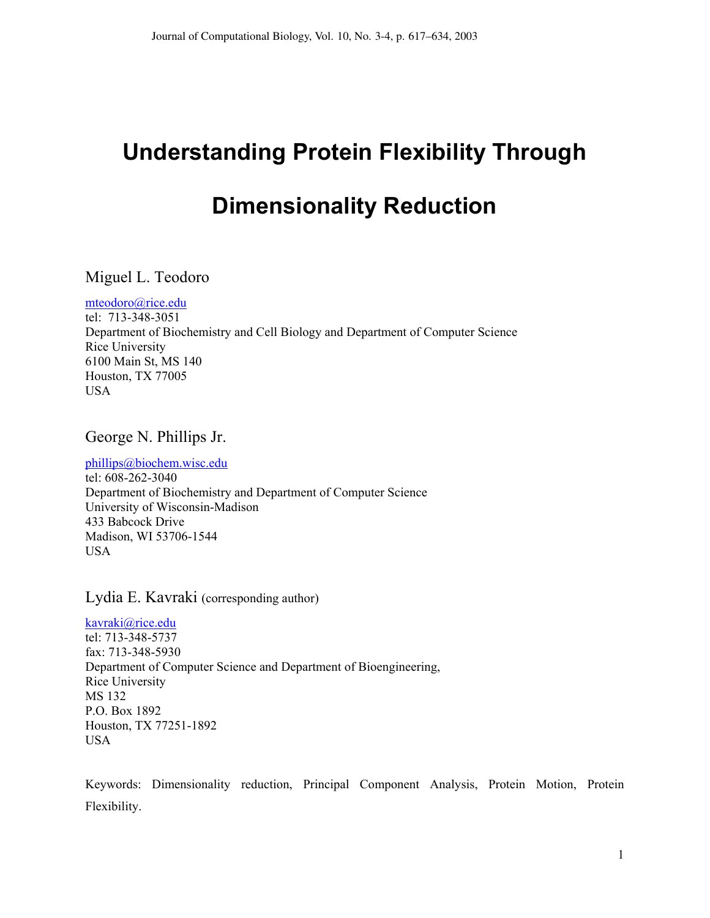# **Understanding Protein Flexibility Through Dimensionality Reduction**

# Miguel L. Teodoro

mteodoro@rice.edu tel: 713-348-3051 Department of Biochemistry and Cell Biology and Department of Computer Science Rice University 6100 Main St, MS 140 Houston, TX 77005 USA

George N. Phillips Jr.

phillips@biochem.wisc.edu tel: 608-262-3040

Department of Biochemistry and Department of Computer Science University of Wisconsin-Madison 433 Babcock Drive Madison, WI 53706-1544 USA

Lydia E. Kavraki (corresponding author)

kavraki@rice.edu tel: 713-348-5737 fax: 713-348-5930 Department of Computer Science and Department of Bioengineering, Rice University MS 132 P.O. Box 1892 Houston, TX 77251-1892 USA

Keywords: Dimensionality reduction, Principal Component Analysis, Protein Motion, Protein Flexibility.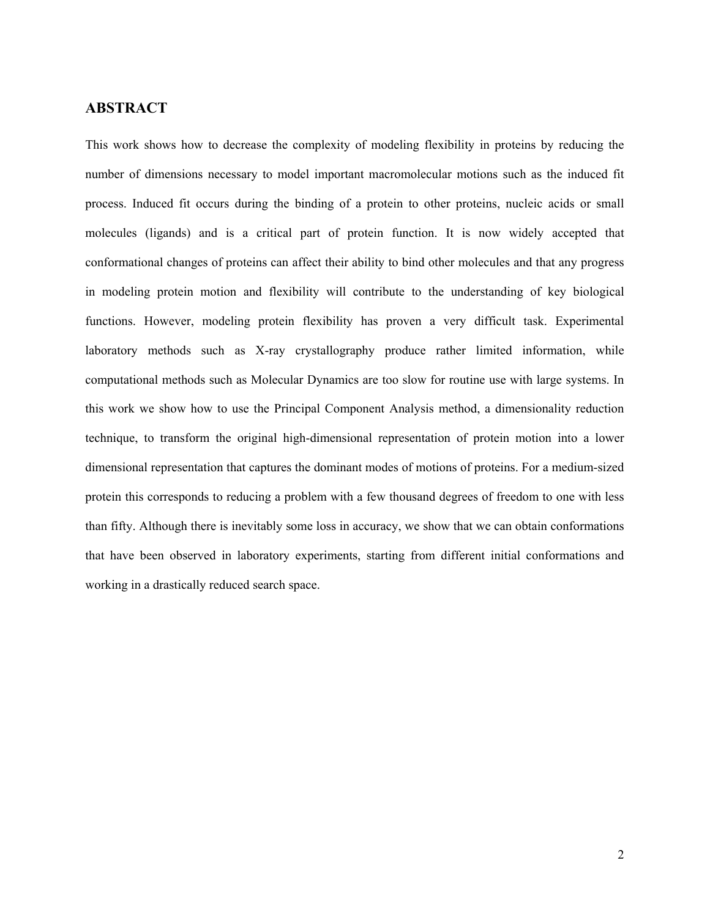## **ABSTRACT**

This work shows how to decrease the complexity of modeling flexibility in proteins by reducing the number of dimensions necessary to model important macromolecular motions such as the induced fit process. Induced fit occurs during the binding of a protein to other proteins, nucleic acids or small molecules (ligands) and is a critical part of protein function. It is now widely accepted that conformational changes of proteins can affect their ability to bind other molecules and that any progress in modeling protein motion and flexibility will contribute to the understanding of key biological functions. However, modeling protein flexibility has proven a very difficult task. Experimental laboratory methods such as X-ray crystallography produce rather limited information, while computational methods such as Molecular Dynamics are too slow for routine use with large systems. In this work we show how to use the Principal Component Analysis method, a dimensionality reduction technique, to transform the original high-dimensional representation of protein motion into a lower dimensional representation that captures the dominant modes of motions of proteins. For a medium-sized protein this corresponds to reducing a problem with a few thousand degrees of freedom to one with less than fifty. Although there is inevitably some loss in accuracy, we show that we can obtain conformations that have been observed in laboratory experiments, starting from different initial conformations and working in a drastically reduced search space.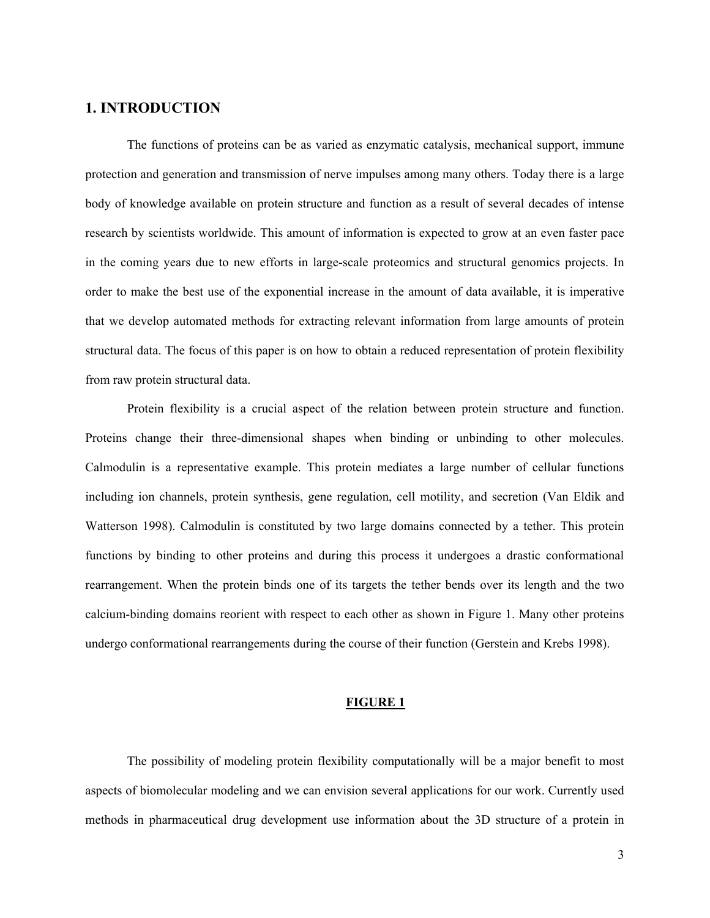## **1. INTRODUCTION**

The functions of proteins can be as varied as enzymatic catalysis, mechanical support, immune protection and generation and transmission of nerve impulses among many others. Today there is a large body of knowledge available on protein structure and function as a result of several decades of intense research by scientists worldwide. This amount of information is expected to grow at an even faster pace in the coming years due to new efforts in large-scale proteomics and structural genomics projects. In order to make the best use of the exponential increase in the amount of data available, it is imperative that we develop automated methods for extracting relevant information from large amounts of protein structural data. The focus of this paper is on how to obtain a reduced representation of protein flexibility from raw protein structural data.

Protein flexibility is a crucial aspect of the relation between protein structure and function. Proteins change their three-dimensional shapes when binding or unbinding to other molecules. Calmodulin is a representative example. This protein mediates a large number of cellular functions including ion channels, protein synthesis, gene regulation, cell motility, and secretion (Van Eldik and Watterson 1998). Calmodulin is constituted by two large domains connected by a tether. This protein functions by binding to other proteins and during this process it undergoes a drastic conformational rearrangement. When the protein binds one of its targets the tether bends over its length and the two calcium-binding domains reorient with respect to each other as shown in Figure 1. Many other proteins undergo conformational rearrangements during the course of their function (Gerstein and Krebs 1998).

#### **FIGURE 1**

The possibility of modeling protein flexibility computationally will be a major benefit to most aspects of biomolecular modeling and we can envision several applications for our work. Currently used methods in pharmaceutical drug development use information about the 3D structure of a protein in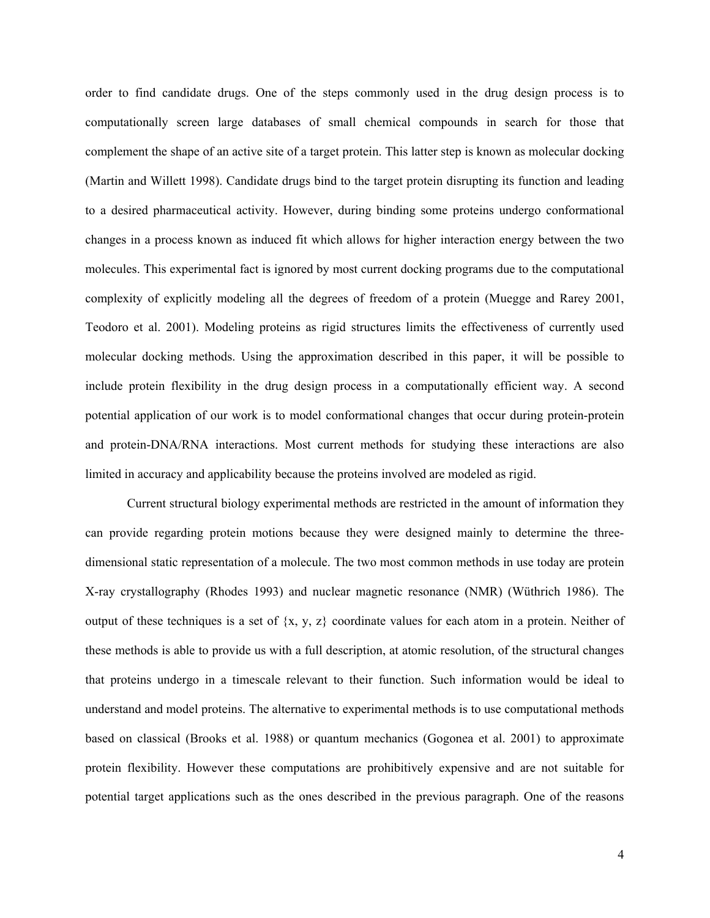order to find candidate drugs. One of the steps commonly used in the drug design process is to computationally screen large databases of small chemical compounds in search for those that complement the shape of an active site of a target protein. This latter step is known as molecular docking (Martin and Willett 1998). Candidate drugs bind to the target protein disrupting its function and leading to a desired pharmaceutical activity. However, during binding some proteins undergo conformational changes in a process known as induced fit which allows for higher interaction energy between the two molecules. This experimental fact is ignored by most current docking programs due to the computational complexity of explicitly modeling all the degrees of freedom of a protein (Muegge and Rarey 2001, Teodoro et al. 2001). Modeling proteins as rigid structures limits the effectiveness of currently used molecular docking methods. Using the approximation described in this paper, it will be possible to include protein flexibility in the drug design process in a computationally efficient way. A second potential application of our work is to model conformational changes that occur during protein-protein and protein-DNA/RNA interactions. Most current methods for studying these interactions are also limited in accuracy and applicability because the proteins involved are modeled as rigid.

Current structural biology experimental methods are restricted in the amount of information they can provide regarding protein motions because they were designed mainly to determine the threedimensional static representation of a molecule. The two most common methods in use today are protein X-ray crystallography (Rhodes 1993) and nuclear magnetic resonance (NMR) (Wüthrich 1986). The output of these techniques is a set of  $\{x, y, z\}$  coordinate values for each atom in a protein. Neither of these methods is able to provide us with a full description, at atomic resolution, of the structural changes that proteins undergo in a timescale relevant to their function. Such information would be ideal to understand and model proteins. The alternative to experimental methods is to use computational methods based on classical (Brooks et al. 1988) or quantum mechanics (Gogonea et al. 2001) to approximate protein flexibility. However these computations are prohibitively expensive and are not suitable for potential target applications such as the ones described in the previous paragraph. One of the reasons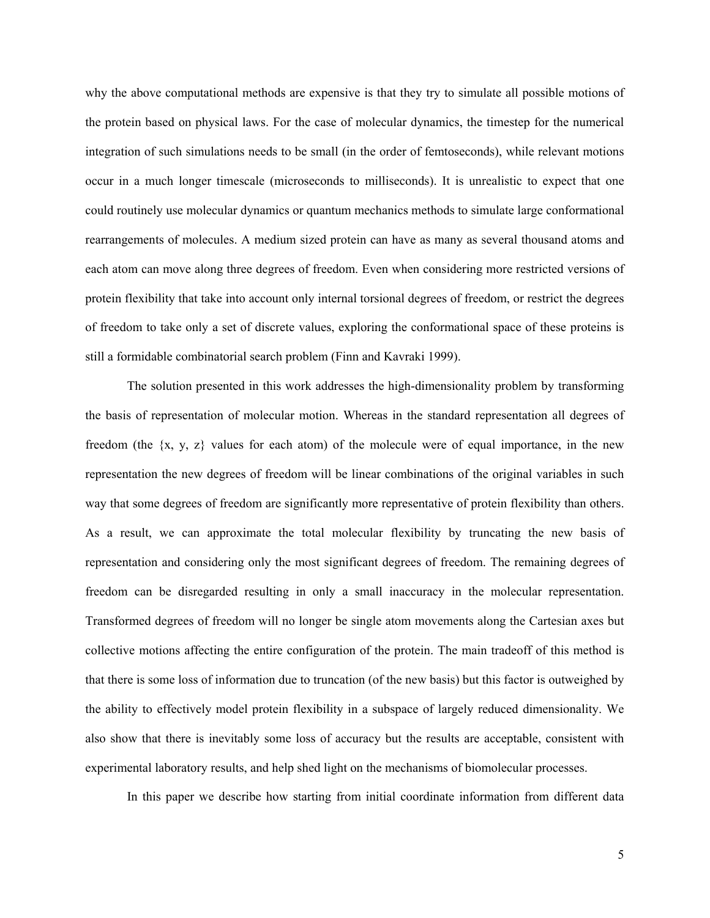why the above computational methods are expensive is that they try to simulate all possible motions of the protein based on physical laws. For the case of molecular dynamics, the timestep for the numerical integration of such simulations needs to be small (in the order of femtoseconds), while relevant motions occur in a much longer timescale (microseconds to milliseconds). It is unrealistic to expect that one could routinely use molecular dynamics or quantum mechanics methods to simulate large conformational rearrangements of molecules. A medium sized protein can have as many as several thousand atoms and each atom can move along three degrees of freedom. Even when considering more restricted versions of protein flexibility that take into account only internal torsional degrees of freedom, or restrict the degrees of freedom to take only a set of discrete values, exploring the conformational space of these proteins is still a formidable combinatorial search problem (Finn and Kavraki 1999).

The solution presented in this work addresses the high-dimensionality problem by transforming the basis of representation of molecular motion. Whereas in the standard representation all degrees of freedom (the {x, y, z} values for each atom) of the molecule were of equal importance, in the new representation the new degrees of freedom will be linear combinations of the original variables in such way that some degrees of freedom are significantly more representative of protein flexibility than others. As a result, we can approximate the total molecular flexibility by truncating the new basis of representation and considering only the most significant degrees of freedom. The remaining degrees of freedom can be disregarded resulting in only a small inaccuracy in the molecular representation. Transformed degrees of freedom will no longer be single atom movements along the Cartesian axes but collective motions affecting the entire configuration of the protein. The main tradeoff of this method is that there is some loss of information due to truncation (of the new basis) but this factor is outweighed by the ability to effectively model protein flexibility in a subspace of largely reduced dimensionality. We also show that there is inevitably some loss of accuracy but the results are acceptable, consistent with experimental laboratory results, and help shed light on the mechanisms of biomolecular processes.

In this paper we describe how starting from initial coordinate information from different data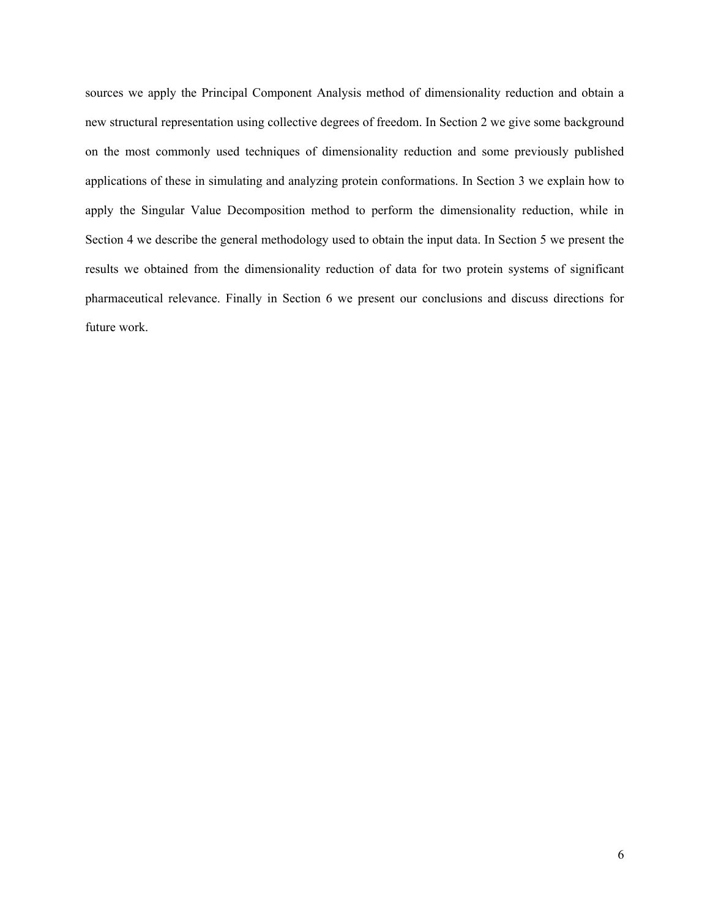sources we apply the Principal Component Analysis method of dimensionality reduction and obtain a new structural representation using collective degrees of freedom. In Section 2 we give some background on the most commonly used techniques of dimensionality reduction and some previously published applications of these in simulating and analyzing protein conformations. In Section 3 we explain how to apply the Singular Value Decomposition method to perform the dimensionality reduction, while in Section 4 we describe the general methodology used to obtain the input data. In Section 5 we present the results we obtained from the dimensionality reduction of data for two protein systems of significant pharmaceutical relevance. Finally in Section 6 we present our conclusions and discuss directions for future work.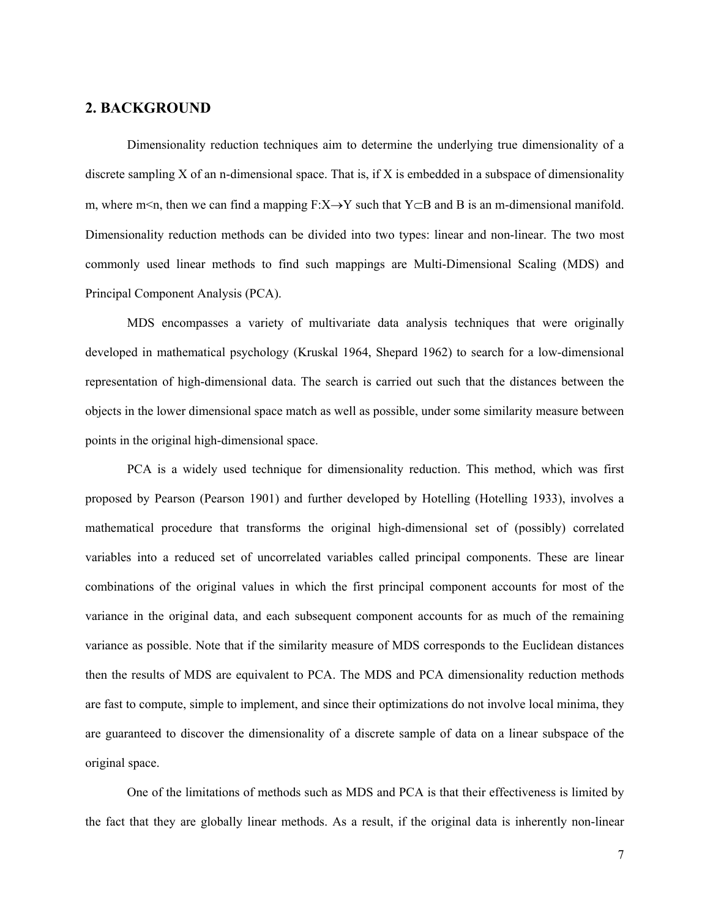## **2. BACKGROUND**

 Dimensionality reduction techniques aim to determine the underlying true dimensionality of a discrete sampling X of an n-dimensional space. That is, if X is embedded in a subspace of dimensionality m, where m<n, then we can find a mapping F:X→Y such that Y⊂B and B is an m-dimensional manifold. Dimensionality reduction methods can be divided into two types: linear and non-linear. The two most commonly used linear methods to find such mappings are Multi-Dimensional Scaling (MDS) and Principal Component Analysis (PCA).

MDS encompasses a variety of multivariate data analysis techniques that were originally developed in mathematical psychology (Kruskal 1964, Shepard 1962) to search for a low-dimensional representation of high-dimensional data. The search is carried out such that the distances between the objects in the lower dimensional space match as well as possible, under some similarity measure between points in the original high-dimensional space.

PCA is a widely used technique for dimensionality reduction. This method, which was first proposed by Pearson (Pearson 1901) and further developed by Hotelling (Hotelling 1933), involves a mathematical procedure that transforms the original high-dimensional set of (possibly) correlated variables into a reduced set of uncorrelated variables called principal components. These are linear combinations of the original values in which the first principal component accounts for most of the variance in the original data, and each subsequent component accounts for as much of the remaining variance as possible. Note that if the similarity measure of MDS corresponds to the Euclidean distances then the results of MDS are equivalent to PCA. The MDS and PCA dimensionality reduction methods are fast to compute, simple to implement, and since their optimizations do not involve local minima, they are guaranteed to discover the dimensionality of a discrete sample of data on a linear subspace of the original space.

One of the limitations of methods such as MDS and PCA is that their effectiveness is limited by the fact that they are globally linear methods. As a result, if the original data is inherently non-linear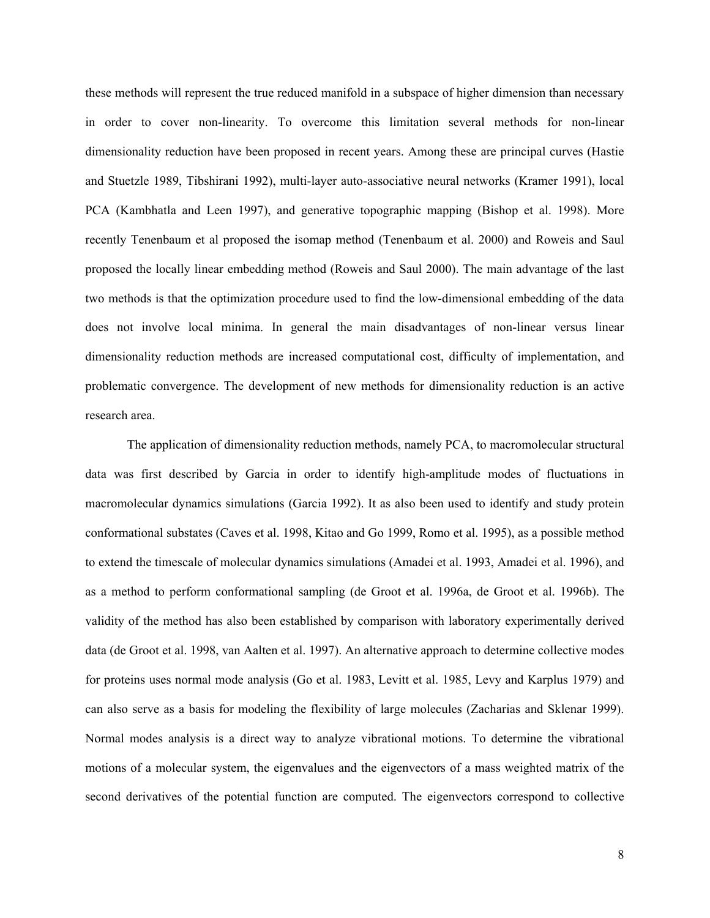these methods will represent the true reduced manifold in a subspace of higher dimension than necessary in order to cover non-linearity. To overcome this limitation several methods for non-linear dimensionality reduction have been proposed in recent years. Among these are principal curves (Hastie and Stuetzle 1989, Tibshirani 1992), multi-layer auto-associative neural networks (Kramer 1991), local PCA (Kambhatla and Leen 1997), and generative topographic mapping (Bishop et al. 1998). More recently Tenenbaum et al proposed the isomap method (Tenenbaum et al. 2000) and Roweis and Saul proposed the locally linear embedding method (Roweis and Saul 2000). The main advantage of the last two methods is that the optimization procedure used to find the low-dimensional embedding of the data does not involve local minima. In general the main disadvantages of non-linear versus linear dimensionality reduction methods are increased computational cost, difficulty of implementation, and problematic convergence. The development of new methods for dimensionality reduction is an active research area.

The application of dimensionality reduction methods, namely PCA, to macromolecular structural data was first described by Garcia in order to identify high-amplitude modes of fluctuations in macromolecular dynamics simulations (Garcia 1992). It as also been used to identify and study protein conformational substates (Caves et al. 1998, Kitao and Go 1999, Romo et al. 1995), as a possible method to extend the timescale of molecular dynamics simulations (Amadei et al. 1993, Amadei et al. 1996), and as a method to perform conformational sampling (de Groot et al. 1996a, de Groot et al. 1996b). The validity of the method has also been established by comparison with laboratory experimentally derived data (de Groot et al. 1998, van Aalten et al. 1997). An alternative approach to determine collective modes for proteins uses normal mode analysis (Go et al. 1983, Levitt et al. 1985, Levy and Karplus 1979) and can also serve as a basis for modeling the flexibility of large molecules (Zacharias and Sklenar 1999). Normal modes analysis is a direct way to analyze vibrational motions. To determine the vibrational motions of a molecular system, the eigenvalues and the eigenvectors of a mass weighted matrix of the second derivatives of the potential function are computed. The eigenvectors correspond to collective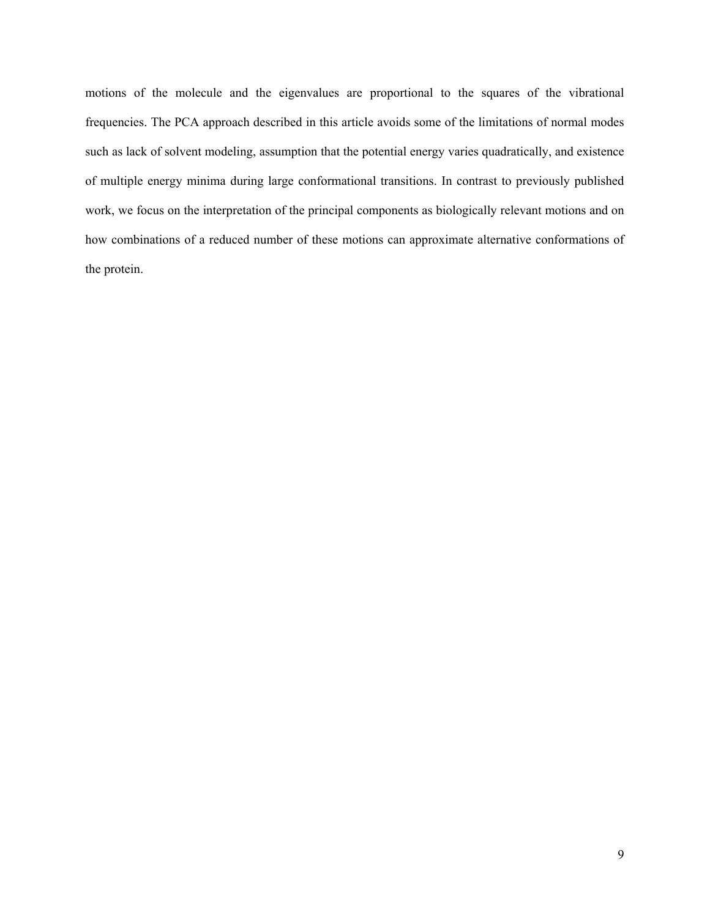motions of the molecule and the eigenvalues are proportional to the squares of the vibrational frequencies. The PCA approach described in this article avoids some of the limitations of normal modes such as lack of solvent modeling, assumption that the potential energy varies quadratically, and existence of multiple energy minima during large conformational transitions. In contrast to previously published work, we focus on the interpretation of the principal components as biologically relevant motions and on how combinations of a reduced number of these motions can approximate alternative conformations of the protein.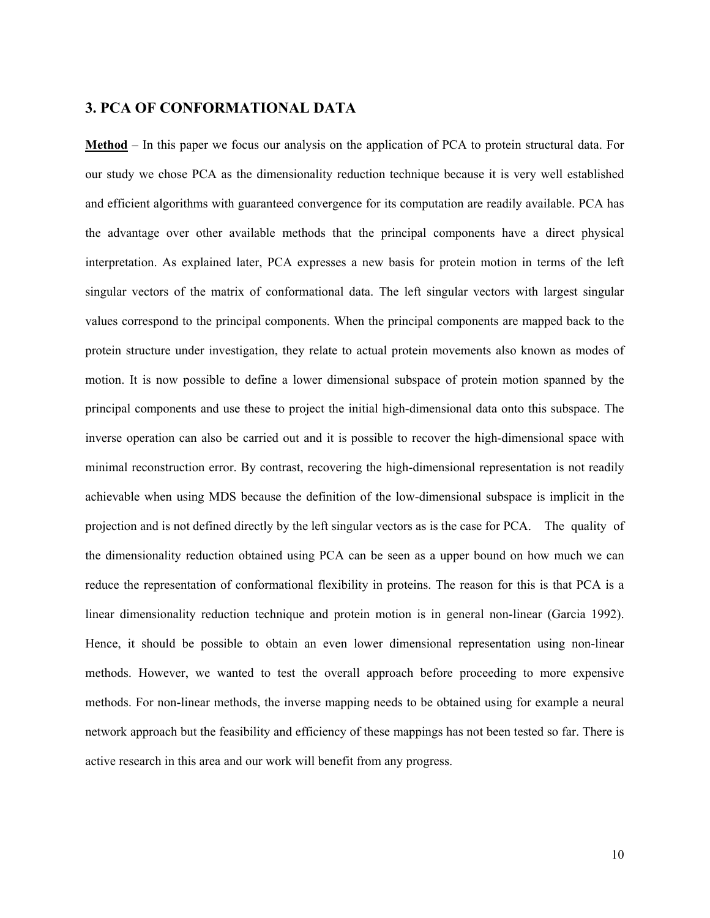## **3. PCA OF CONFORMATIONAL DATA**

**Method** – In this paper we focus our analysis on the application of PCA to protein structural data. For our study we chose PCA as the dimensionality reduction technique because it is very well established and efficient algorithms with guaranteed convergence for its computation are readily available. PCA has the advantage over other available methods that the principal components have a direct physical interpretation. As explained later, PCA expresses a new basis for protein motion in terms of the left singular vectors of the matrix of conformational data. The left singular vectors with largest singular values correspond to the principal components. When the principal components are mapped back to the protein structure under investigation, they relate to actual protein movements also known as modes of motion. It is now possible to define a lower dimensional subspace of protein motion spanned by the principal components and use these to project the initial high-dimensional data onto this subspace. The inverse operation can also be carried out and it is possible to recover the high-dimensional space with minimal reconstruction error. By contrast, recovering the high-dimensional representation is not readily achievable when using MDS because the definition of the low-dimensional subspace is implicit in the projection and is not defined directly by the left singular vectors as is the case for PCA. The quality of the dimensionality reduction obtained using PCA can be seen as a upper bound on how much we can reduce the representation of conformational flexibility in proteins. The reason for this is that PCA is a linear dimensionality reduction technique and protein motion is in general non-linear (Garcia 1992). Hence, it should be possible to obtain an even lower dimensional representation using non-linear methods. However, we wanted to test the overall approach before proceeding to more expensive methods. For non-linear methods, the inverse mapping needs to be obtained using for example a neural network approach but the feasibility and efficiency of these mappings has not been tested so far. There is active research in this area and our work will benefit from any progress.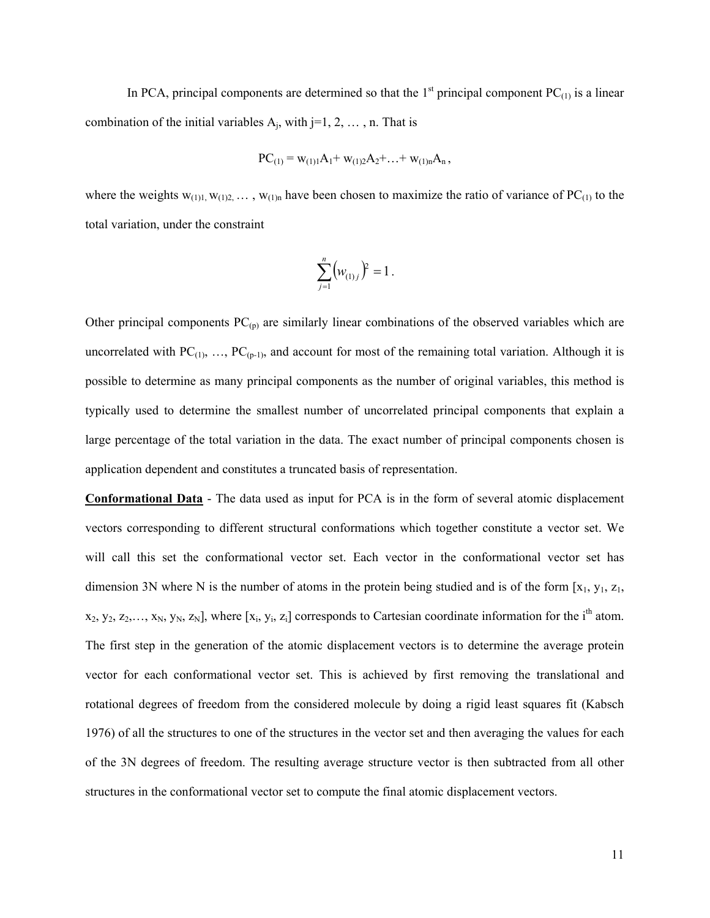In PCA, principal components are determined so that the  $1<sup>st</sup>$  principal component PC<sub>(1)</sub> is a linear combination of the initial variables  $A_i$ , with j=1, 2, ..., n. That is

$$
PC_{(1)} = w_{(1)1}A_1 + w_{(1)2}A_2 + \ldots + w_{(1)n}A_n,
$$

where the weights  $w_{(1)1, w_{(1)2, \dots, w_{(1)n}}}$  have been chosen to maximize the ratio of variance of PC<sub>(1)</sub> to the total variation, under the constraint

$$
\sum_{j=1}^n \bigl( w_{(1)j} \bigr)^2 = 1 \, .
$$

Other principal components  $PC_{(p)}$  are similarly linear combinations of the observed variables which are uncorrelated with  $PC_{(1)}, \ldots, PC_{(p-1)}$ , and account for most of the remaining total variation. Although it is possible to determine as many principal components as the number of original variables, this method is typically used to determine the smallest number of uncorrelated principal components that explain a large percentage of the total variation in the data. The exact number of principal components chosen is application dependent and constitutes a truncated basis of representation.

**Conformational Data** - The data used as input for PCA is in the form of several atomic displacement vectors corresponding to different structural conformations which together constitute a vector set. We will call this set the conformational vector set. Each vector in the conformational vector set has dimension 3N where N is the number of atoms in the protein being studied and is of the form  $[x_1, y_1, z_1,$  $x_2, y_2, z_2,..., x_N, y_N, z_N$ ], where [ $x_i, y_i, z_i$ ] corresponds to Cartesian coordinate information for the i<sup>th</sup> atom. The first step in the generation of the atomic displacement vectors is to determine the average protein vector for each conformational vector set. This is achieved by first removing the translational and rotational degrees of freedom from the considered molecule by doing a rigid least squares fit (Kabsch 1976) of all the structures to one of the structures in the vector set and then averaging the values for each of the 3N degrees of freedom. The resulting average structure vector is then subtracted from all other structures in the conformational vector set to compute the final atomic displacement vectors.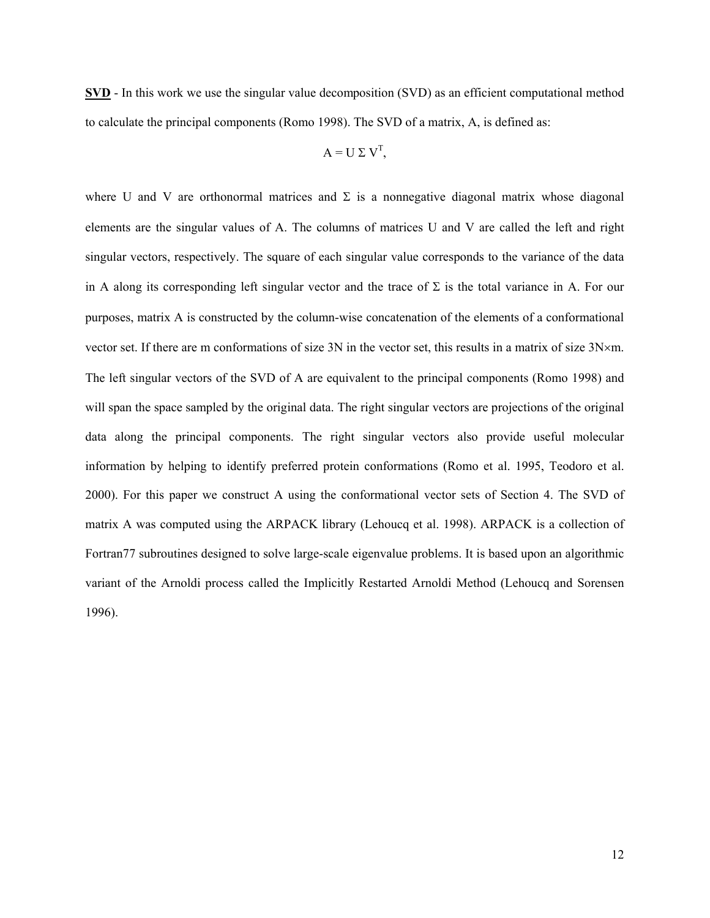**SVD** - In this work we use the singular value decomposition (SVD) as an efficient computational method to calculate the principal components (Romo 1998). The SVD of a matrix, A, is defined as:

$$
A = U \Sigma V^{T},
$$

where U and V are orthonormal matrices and  $\Sigma$  is a nonnegative diagonal matrix whose diagonal elements are the singular values of A. The columns of matrices U and V are called the left and right singular vectors, respectively. The square of each singular value corresponds to the variance of the data in A along its corresponding left singular vector and the trace of  $\Sigma$  is the total variance in A. For our purposes, matrix A is constructed by the column-wise concatenation of the elements of a conformational vector set. If there are m conformations of size 3N in the vector set, this results in a matrix of size 3N×m. The left singular vectors of the SVD of A are equivalent to the principal components (Romo 1998) and will span the space sampled by the original data. The right singular vectors are projections of the original data along the principal components. The right singular vectors also provide useful molecular information by helping to identify preferred protein conformations (Romo et al. 1995, Teodoro et al. 2000). For this paper we construct A using the conformational vector sets of Section 4. The SVD of matrix A was computed using the ARPACK library (Lehoucq et al. 1998). ARPACK is a collection of Fortran77 subroutines designed to solve large-scale eigenvalue problems. It is based upon an algorithmic variant of the Arnoldi process called the Implicitly Restarted Arnoldi Method (Lehoucq and Sorensen 1996).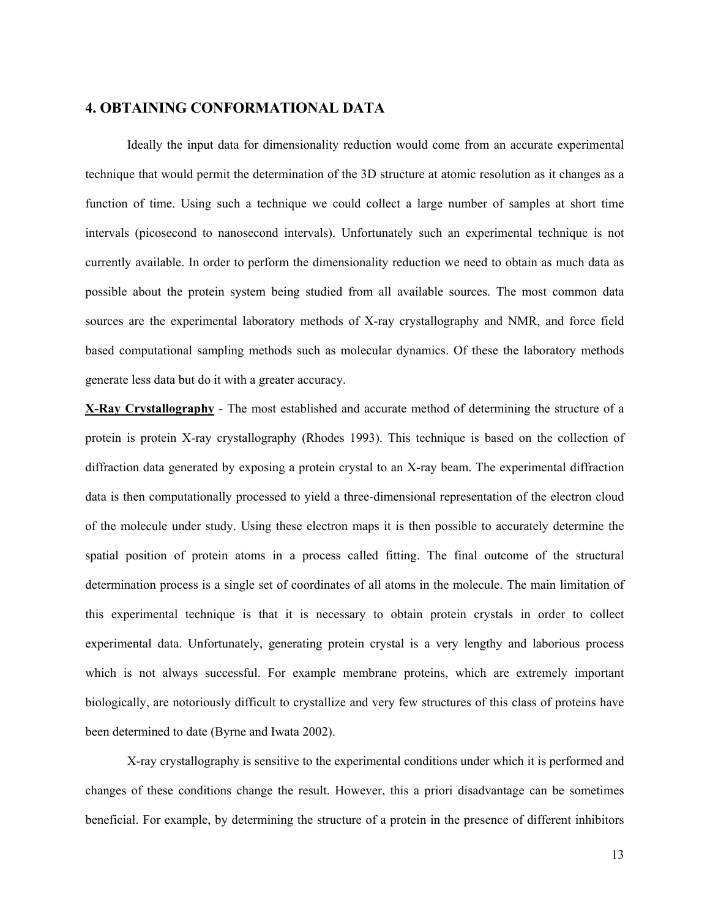## **4. OBTAINING CONFORMATIONAL DATA**

Ideally the input data for dimensionality reduction would come from an accurate experimental technique that would permit the determination of the 3D structure at atomic resolution as it changes as a function of time. Using such a technique we could collect a large number of samples at short time intervals (picosecond to nanosecond intervals). Unfortunately such an experimental technique is not currently available. In order to perform the dimensionality reduction we need to obtain as much data as possible about the protein system being studied from all available sources. The most common data sources are the experimental laboratory methods of X-ray crystallography and NMR, and force field based computational sampling methods such as molecular dynamics. Of these the laboratory methods generate less data but do it with a greater accuracy.

**X-Ray Crystallography** - The most established and accurate method of determining the structure of a protein is protein X-ray crystallography (Rhodes 1993). This technique is based on the collection of diffraction data generated by exposing a protein crystal to an X-ray beam. The experimental diffraction data is then computationally processed to yield a three-dimensional representation of the electron cloud of the molecule under study. Using these electron maps it is then possible to accurately determine the spatial position of protein atoms in a process called fitting. The final outcome of the structural determination process is a single set of coordinates of all atoms in the molecule. The main limitation of this experimental technique is that it is necessary to obtain protein crystals in order to collect experimental data. Unfortunately, generating protein crystal is a very lengthy and laborious process which is not always successful. For example membrane proteins, which are extremely important biologically, are notoriously difficult to crystallize and very few structures of this class of proteins have been determined to date (Byrne and Iwata 2002).

X-ray crystallography is sensitive to the experimental conditions under which it is performed and changes of these conditions change the result. However, this a priori disadvantage can be sometimes beneficial. For example, by determining the structure of a protein in the presence of different inhibitors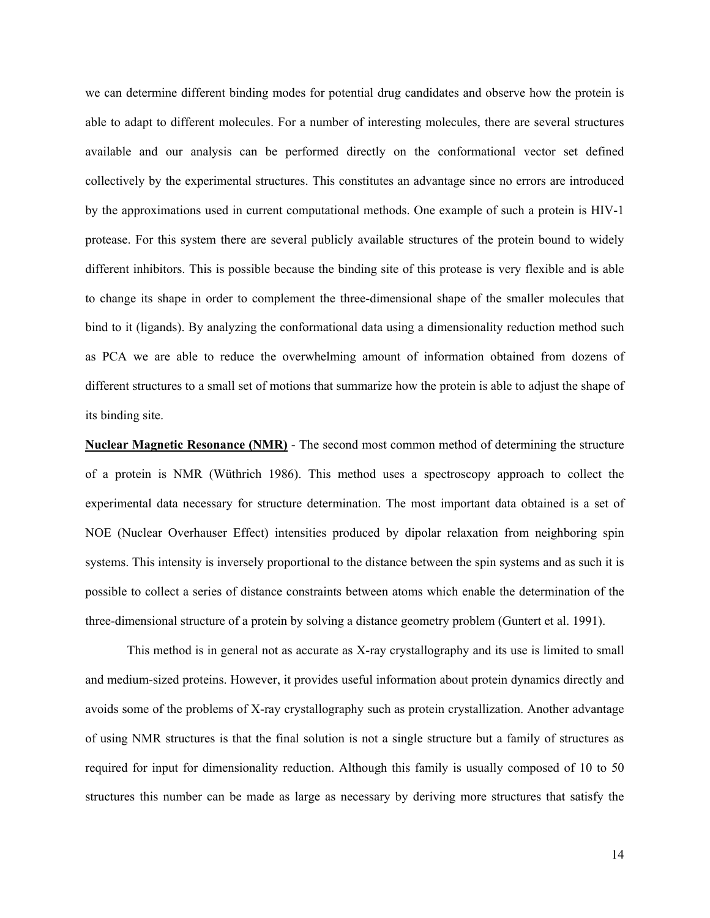we can determine different binding modes for potential drug candidates and observe how the protein is able to adapt to different molecules. For a number of interesting molecules, there are several structures available and our analysis can be performed directly on the conformational vector set defined collectively by the experimental structures. This constitutes an advantage since no errors are introduced by the approximations used in current computational methods. One example of such a protein is HIV-1 protease. For this system there are several publicly available structures of the protein bound to widely different inhibitors. This is possible because the binding site of this protease is very flexible and is able to change its shape in order to complement the three-dimensional shape of the smaller molecules that bind to it (ligands). By analyzing the conformational data using a dimensionality reduction method such as PCA we are able to reduce the overwhelming amount of information obtained from dozens of different structures to a small set of motions that summarize how the protein is able to adjust the shape of its binding site.

**Nuclear Magnetic Resonance (NMR)** - The second most common method of determining the structure of a protein is NMR (Wüthrich 1986). This method uses a spectroscopy approach to collect the experimental data necessary for structure determination. The most important data obtained is a set of NOE (Nuclear Overhauser Effect) intensities produced by dipolar relaxation from neighboring spin systems. This intensity is inversely proportional to the distance between the spin systems and as such it is possible to collect a series of distance constraints between atoms which enable the determination of the three-dimensional structure of a protein by solving a distance geometry problem (Guntert et al. 1991).

This method is in general not as accurate as X-ray crystallography and its use is limited to small and medium-sized proteins. However, it provides useful information about protein dynamics directly and avoids some of the problems of X-ray crystallography such as protein crystallization. Another advantage of using NMR structures is that the final solution is not a single structure but a family of structures as required for input for dimensionality reduction. Although this family is usually composed of 10 to 50 structures this number can be made as large as necessary by deriving more structures that satisfy the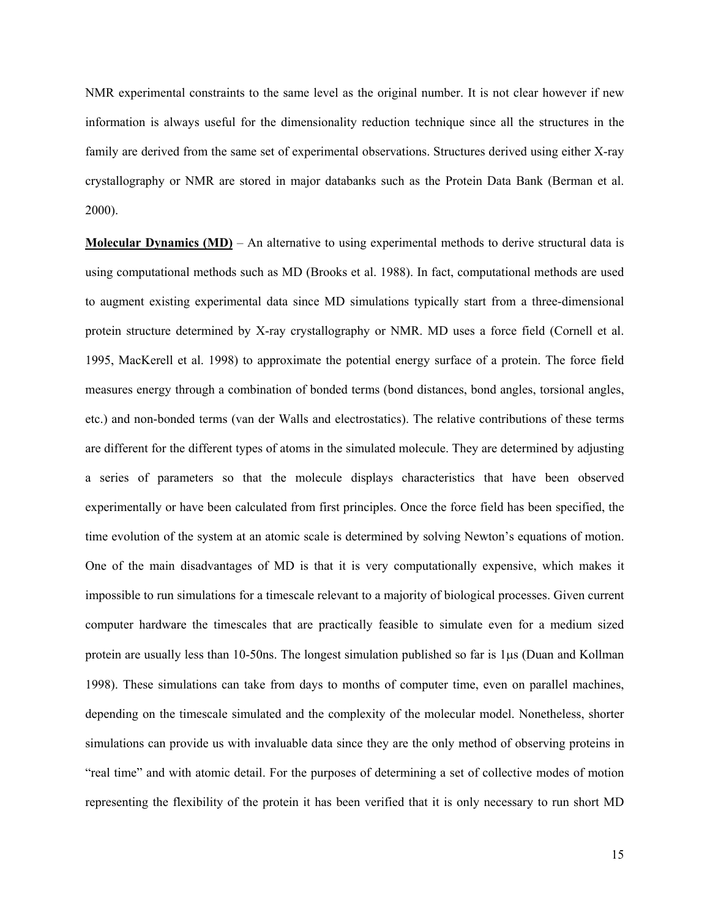NMR experimental constraints to the same level as the original number. It is not clear however if new information is always useful for the dimensionality reduction technique since all the structures in the family are derived from the same set of experimental observations. Structures derived using either X-ray crystallography or NMR are stored in major databanks such as the Protein Data Bank (Berman et al. 2000).

**Molecular Dynamics (MD)** – An alternative to using experimental methods to derive structural data is using computational methods such as MD (Brooks et al. 1988). In fact, computational methods are used to augment existing experimental data since MD simulations typically start from a three-dimensional protein structure determined by X-ray crystallography or NMR. MD uses a force field (Cornell et al. 1995, MacKerell et al. 1998) to approximate the potential energy surface of a protein. The force field measures energy through a combination of bonded terms (bond distances, bond angles, torsional angles, etc.) and non-bonded terms (van der Walls and electrostatics). The relative contributions of these terms are different for the different types of atoms in the simulated molecule. They are determined by adjusting a series of parameters so that the molecule displays characteristics that have been observed experimentally or have been calculated from first principles. Once the force field has been specified, the time evolution of the system at an atomic scale is determined by solving Newton's equations of motion. One of the main disadvantages of MD is that it is very computationally expensive, which makes it impossible to run simulations for a timescale relevant to a majority of biological processes. Given current computer hardware the timescales that are practically feasible to simulate even for a medium sized protein are usually less than 10-50ns. The longest simulation published so far is 1µs (Duan and Kollman 1998). These simulations can take from days to months of computer time, even on parallel machines, depending on the timescale simulated and the complexity of the molecular model. Nonetheless, shorter simulations can provide us with invaluable data since they are the only method of observing proteins in "real time" and with atomic detail. For the purposes of determining a set of collective modes of motion representing the flexibility of the protein it has been verified that it is only necessary to run short MD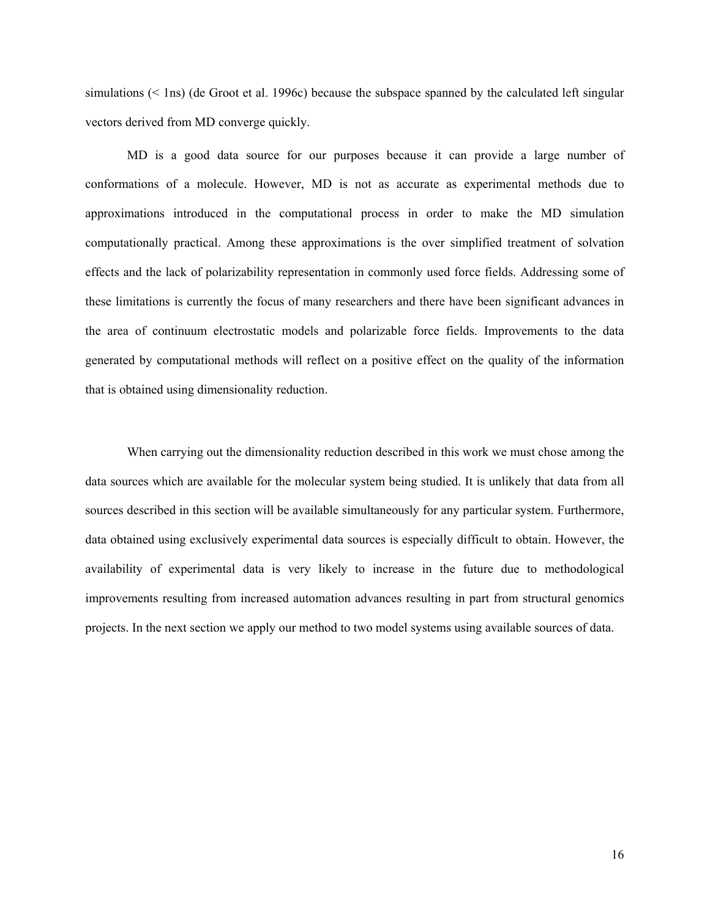simulations (< 1ns) (de Groot et al. 1996c) because the subspace spanned by the calculated left singular vectors derived from MD converge quickly.

MD is a good data source for our purposes because it can provide a large number of conformations of a molecule. However, MD is not as accurate as experimental methods due to approximations introduced in the computational process in order to make the MD simulation computationally practical. Among these approximations is the over simplified treatment of solvation effects and the lack of polarizability representation in commonly used force fields. Addressing some of these limitations is currently the focus of many researchers and there have been significant advances in the area of continuum electrostatic models and polarizable force fields. Improvements to the data generated by computational methods will reflect on a positive effect on the quality of the information that is obtained using dimensionality reduction.

When carrying out the dimensionality reduction described in this work we must chose among the data sources which are available for the molecular system being studied. It is unlikely that data from all sources described in this section will be available simultaneously for any particular system. Furthermore, data obtained using exclusively experimental data sources is especially difficult to obtain. However, the availability of experimental data is very likely to increase in the future due to methodological improvements resulting from increased automation advances resulting in part from structural genomics projects. In the next section we apply our method to two model systems using available sources of data.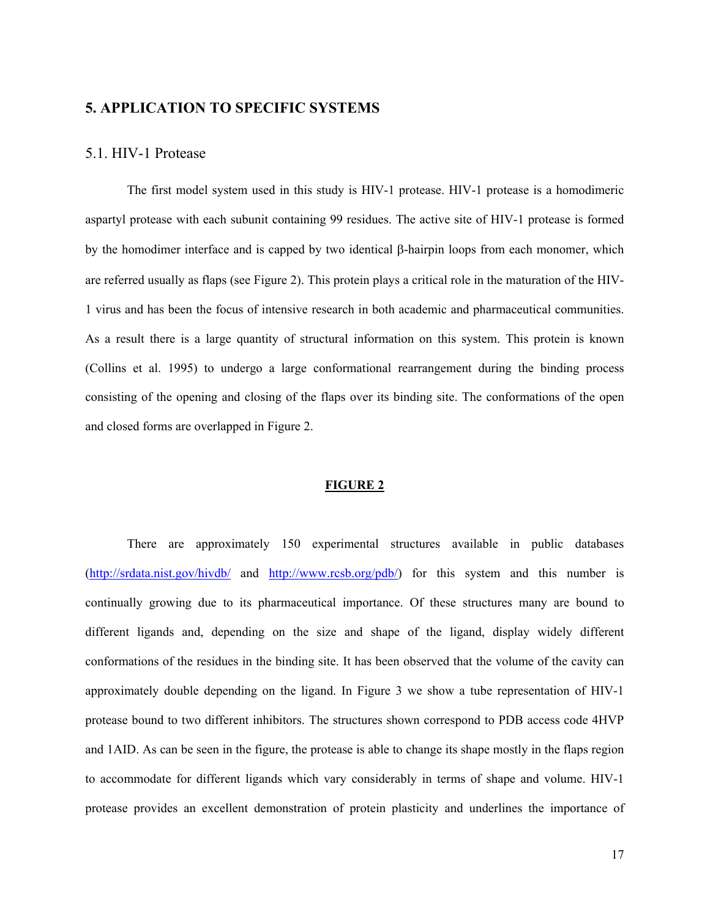## **5. APPLICATION TO SPECIFIC SYSTEMS**

## 5.1. HIV-1 Protease

 The first model system used in this study is HIV-1 protease. HIV-1 protease is a homodimeric aspartyl protease with each subunit containing 99 residues. The active site of HIV-1 protease is formed by the homodimer interface and is capped by two identical β-hairpin loops from each monomer, which are referred usually as flaps (see Figure 2). This protein plays a critical role in the maturation of the HIV-1 virus and has been the focus of intensive research in both academic and pharmaceutical communities. As a result there is a large quantity of structural information on this system. This protein is known (Collins et al. 1995) to undergo a large conformational rearrangement during the binding process consisting of the opening and closing of the flaps over its binding site. The conformations of the open and closed forms are overlapped in Figure 2.

#### **FIGURE 2**

There are approximately 150 experimental structures available in public databases (http://srdata.nist.gov/hivdb/ and http://www.rcsb.org/pdb/) for this system and this number is continually growing due to its pharmaceutical importance. Of these structures many are bound to different ligands and, depending on the size and shape of the ligand, display widely different conformations of the residues in the binding site. It has been observed that the volume of the cavity can approximately double depending on the ligand. In Figure 3 we show a tube representation of HIV-1 protease bound to two different inhibitors. The structures shown correspond to PDB access code 4HVP and 1AID. As can be seen in the figure, the protease is able to change its shape mostly in the flaps region to accommodate for different ligands which vary considerably in terms of shape and volume. HIV-1 protease provides an excellent demonstration of protein plasticity and underlines the importance of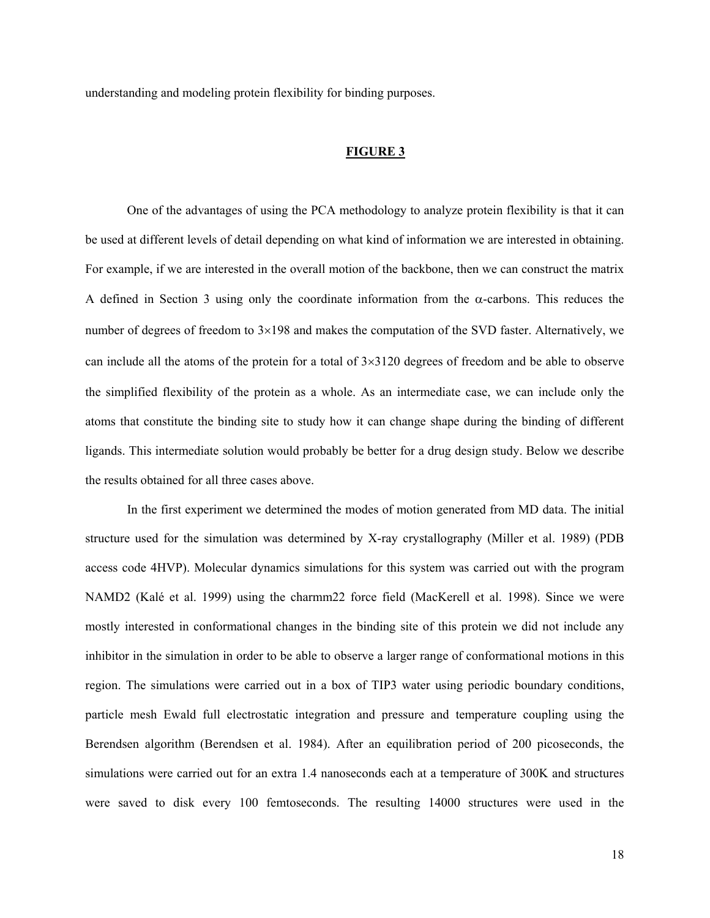understanding and modeling protein flexibility for binding purposes.

#### **FIGURE 3**

 One of the advantages of using the PCA methodology to analyze protein flexibility is that it can be used at different levels of detail depending on what kind of information we are interested in obtaining. For example, if we are interested in the overall motion of the backbone, then we can construct the matrix A defined in Section 3 using only the coordinate information from the  $\alpha$ -carbons. This reduces the number of degrees of freedom to 3×198 and makes the computation of the SVD faster. Alternatively, we can include all the atoms of the protein for a total of  $3\times3120$  degrees of freedom and be able to observe the simplified flexibility of the protein as a whole. As an intermediate case, we can include only the atoms that constitute the binding site to study how it can change shape during the binding of different ligands. This intermediate solution would probably be better for a drug design study. Below we describe the results obtained for all three cases above.

In the first experiment we determined the modes of motion generated from MD data. The initial structure used for the simulation was determined by X-ray crystallography (Miller et al. 1989) (PDB access code 4HVP). Molecular dynamics simulations for this system was carried out with the program NAMD2 (Kalé et al. 1999) using the charmm22 force field (MacKerell et al. 1998). Since we were mostly interested in conformational changes in the binding site of this protein we did not include any inhibitor in the simulation in order to be able to observe a larger range of conformational motions in this region. The simulations were carried out in a box of TIP3 water using periodic boundary conditions, particle mesh Ewald full electrostatic integration and pressure and temperature coupling using the Berendsen algorithm (Berendsen et al. 1984). After an equilibration period of 200 picoseconds, the simulations were carried out for an extra 1.4 nanoseconds each at a temperature of 300K and structures were saved to disk every 100 femtoseconds. The resulting 14000 structures were used in the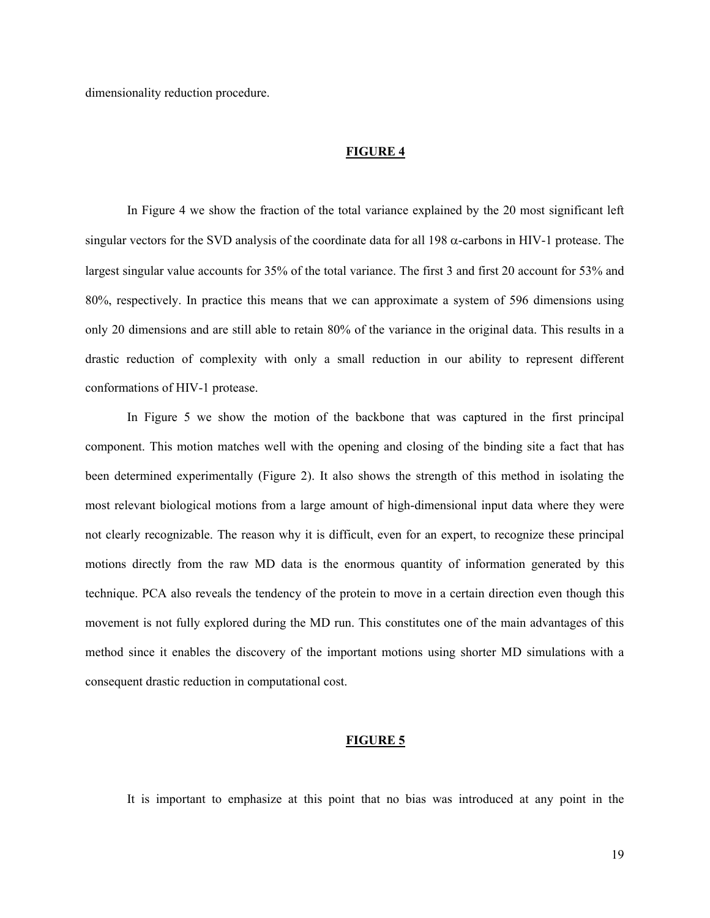dimensionality reduction procedure.

#### **FIGURE 4**

 In Figure 4 we show the fraction of the total variance explained by the 20 most significant left singular vectors for the SVD analysis of the coordinate data for all 198  $\alpha$ -carbons in HIV-1 protease. The largest singular value accounts for 35% of the total variance. The first 3 and first 20 account for 53% and 80%, respectively. In practice this means that we can approximate a system of 596 dimensions using only 20 dimensions and are still able to retain 80% of the variance in the original data. This results in a drastic reduction of complexity with only a small reduction in our ability to represent different conformations of HIV-1 protease.

In Figure 5 we show the motion of the backbone that was captured in the first principal component. This motion matches well with the opening and closing of the binding site a fact that has been determined experimentally (Figure 2). It also shows the strength of this method in isolating the most relevant biological motions from a large amount of high-dimensional input data where they were not clearly recognizable. The reason why it is difficult, even for an expert, to recognize these principal motions directly from the raw MD data is the enormous quantity of information generated by this technique. PCA also reveals the tendency of the protein to move in a certain direction even though this movement is not fully explored during the MD run. This constitutes one of the main advantages of this method since it enables the discovery of the important motions using shorter MD simulations with a consequent drastic reduction in computational cost.

#### **FIGURE 5**

It is important to emphasize at this point that no bias was introduced at any point in the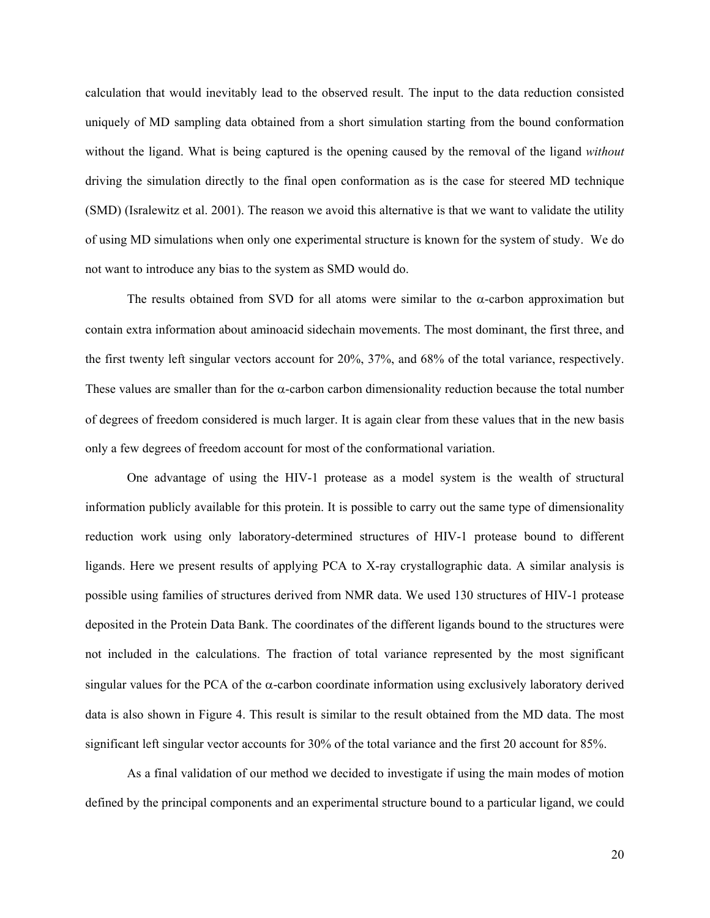calculation that would inevitably lead to the observed result. The input to the data reduction consisted uniquely of MD sampling data obtained from a short simulation starting from the bound conformation without the ligand. What is being captured is the opening caused by the removal of the ligand *without*  driving the simulation directly to the final open conformation as is the case for steered MD technique (SMD) (Isralewitz et al. 2001). The reason we avoid this alternative is that we want to validate the utility of using MD simulations when only one experimental structure is known for the system of study. We do not want to introduce any bias to the system as SMD would do.

The results obtained from SVD for all atoms were similar to the  $\alpha$ -carbon approximation but contain extra information about aminoacid sidechain movements. The most dominant, the first three, and the first twenty left singular vectors account for 20%, 37%, and 68% of the total variance, respectively. These values are smaller than for the  $\alpha$ -carbon carbon dimensionality reduction because the total number of degrees of freedom considered is much larger. It is again clear from these values that in the new basis only a few degrees of freedom account for most of the conformational variation.

One advantage of using the HIV-1 protease as a model system is the wealth of structural information publicly available for this protein. It is possible to carry out the same type of dimensionality reduction work using only laboratory-determined structures of HIV-1 protease bound to different ligands. Here we present results of applying PCA to X-ray crystallographic data. A similar analysis is possible using families of structures derived from NMR data. We used 130 structures of HIV-1 protease deposited in the Protein Data Bank. The coordinates of the different ligands bound to the structures were not included in the calculations. The fraction of total variance represented by the most significant singular values for the PCA of the  $\alpha$ -carbon coordinate information using exclusively laboratory derived data is also shown in Figure 4. This result is similar to the result obtained from the MD data. The most significant left singular vector accounts for 30% of the total variance and the first 20 account for 85%.

 As a final validation of our method we decided to investigate if using the main modes of motion defined by the principal components and an experimental structure bound to a particular ligand, we could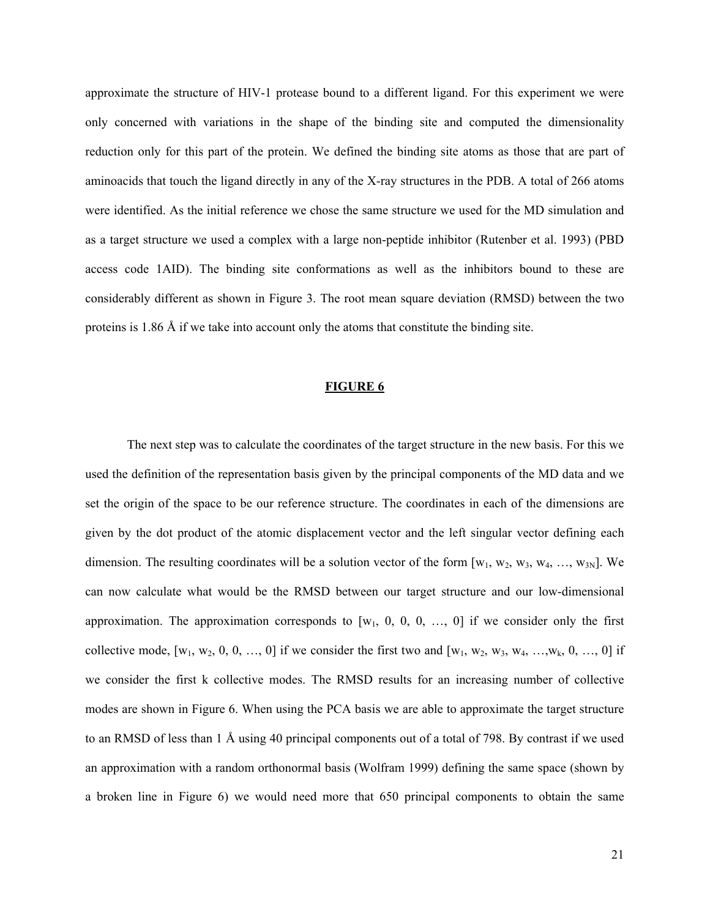approximate the structure of HIV-1 protease bound to a different ligand. For this experiment we were only concerned with variations in the shape of the binding site and computed the dimensionality reduction only for this part of the protein. We defined the binding site atoms as those that are part of aminoacids that touch the ligand directly in any of the X-ray structures in the PDB. A total of 266 atoms were identified. As the initial reference we chose the same structure we used for the MD simulation and as a target structure we used a complex with a large non-peptide inhibitor (Rutenber et al. 1993) (PBD access code 1AID). The binding site conformations as well as the inhibitors bound to these are considerably different as shown in Figure 3. The root mean square deviation (RMSD) between the two proteins is 1.86 Å if we take into account only the atoms that constitute the binding site.

#### **FIGURE 6**

The next step was to calculate the coordinates of the target structure in the new basis. For this we used the definition of the representation basis given by the principal components of the MD data and we set the origin of the space to be our reference structure. The coordinates in each of the dimensions are given by the dot product of the atomic displacement vector and the left singular vector defining each dimension. The resulting coordinates will be a solution vector of the form  $[w_1, w_2, w_3, w_4, ..., w_{3N}]$ . We can now calculate what would be the RMSD between our target structure and our low-dimensional approximation. The approximation corresponds to  $[w_1, 0, 0, 0, ..., 0]$  if we consider only the first collective mode,  $[w_1, w_2, 0, 0, ..., 0]$  if we consider the first two and  $[w_1, w_2, w_3, w_4, ..., w_k, 0, ..., 0]$  if we consider the first k collective modes. The RMSD results for an increasing number of collective modes are shown in Figure 6. When using the PCA basis we are able to approximate the target structure to an RMSD of less than 1 Å using 40 principal components out of a total of 798. By contrast if we used an approximation with a random orthonormal basis (Wolfram 1999) defining the same space (shown by a broken line in Figure 6) we would need more that 650 principal components to obtain the same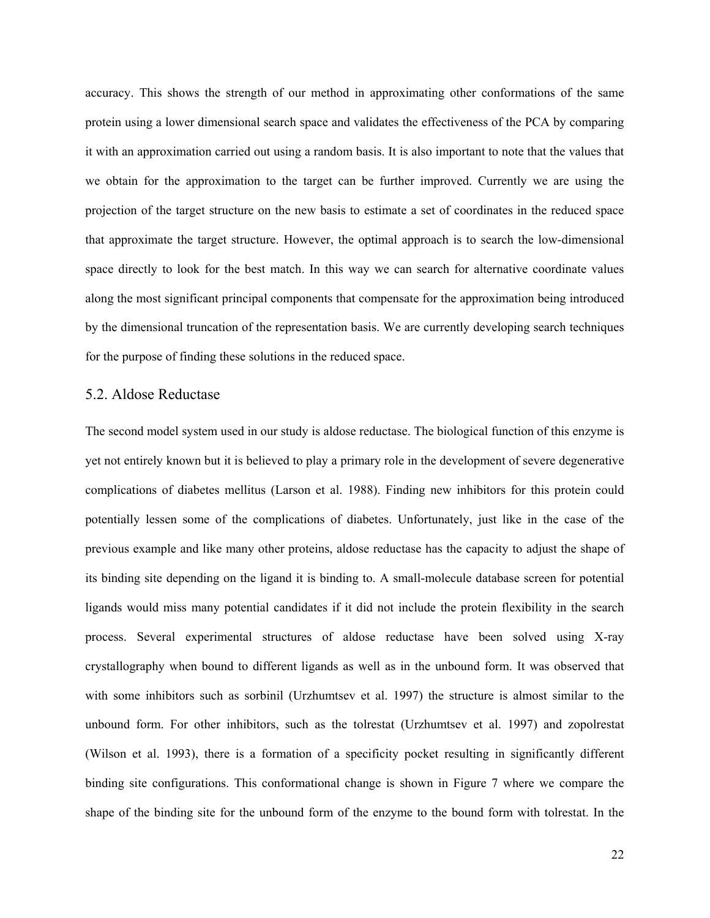accuracy. This shows the strength of our method in approximating other conformations of the same protein using a lower dimensional search space and validates the effectiveness of the PCA by comparing it with an approximation carried out using a random basis. It is also important to note that the values that we obtain for the approximation to the target can be further improved. Currently we are using the projection of the target structure on the new basis to estimate a set of coordinates in the reduced space that approximate the target structure. However, the optimal approach is to search the low-dimensional space directly to look for the best match. In this way we can search for alternative coordinate values along the most significant principal components that compensate for the approximation being introduced by the dimensional truncation of the representation basis. We are currently developing search techniques for the purpose of finding these solutions in the reduced space.

## 5.2. Aldose Reductase

The second model system used in our study is aldose reductase. The biological function of this enzyme is yet not entirely known but it is believed to play a primary role in the development of severe degenerative complications of diabetes mellitus (Larson et al. 1988). Finding new inhibitors for this protein could potentially lessen some of the complications of diabetes. Unfortunately, just like in the case of the previous example and like many other proteins, aldose reductase has the capacity to adjust the shape of its binding site depending on the ligand it is binding to. A small-molecule database screen for potential ligands would miss many potential candidates if it did not include the protein flexibility in the search process. Several experimental structures of aldose reductase have been solved using X-ray crystallography when bound to different ligands as well as in the unbound form. It was observed that with some inhibitors such as sorbinil (Urzhumtsev et al. 1997) the structure is almost similar to the unbound form. For other inhibitors, such as the tolrestat (Urzhumtsev et al. 1997) and zopolrestat (Wilson et al. 1993), there is a formation of a specificity pocket resulting in significantly different binding site configurations. This conformational change is shown in Figure 7 where we compare the shape of the binding site for the unbound form of the enzyme to the bound form with tolrestat. In the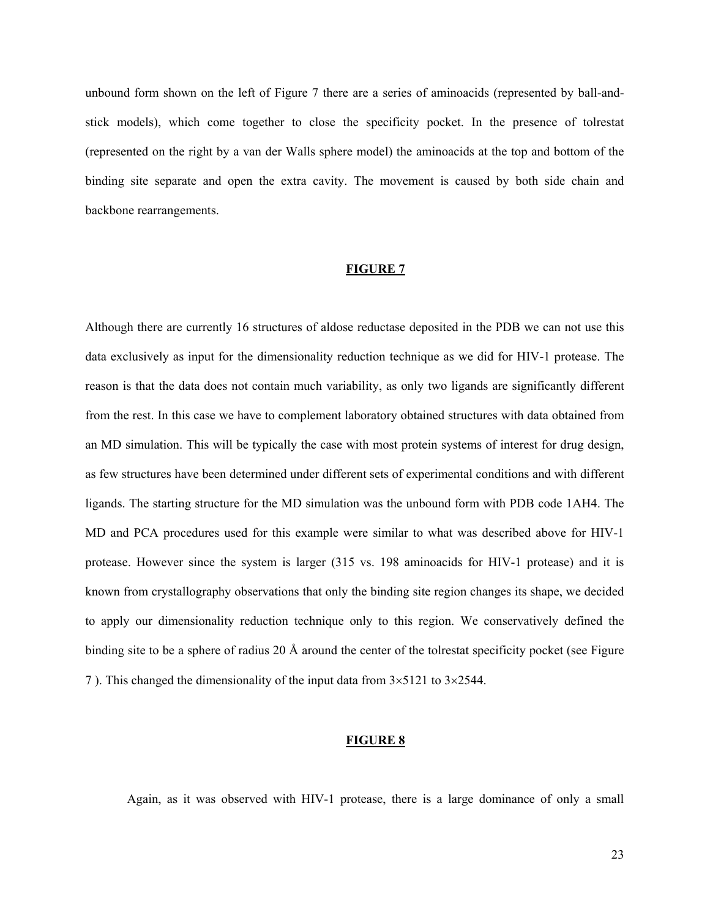unbound form shown on the left of Figure 7 there are a series of aminoacids (represented by ball-andstick models), which come together to close the specificity pocket. In the presence of tolrestat (represented on the right by a van der Walls sphere model) the aminoacids at the top and bottom of the binding site separate and open the extra cavity. The movement is caused by both side chain and backbone rearrangements.

#### **FIGURE 7**

Although there are currently 16 structures of aldose reductase deposited in the PDB we can not use this data exclusively as input for the dimensionality reduction technique as we did for HIV-1 protease. The reason is that the data does not contain much variability, as only two ligands are significantly different from the rest. In this case we have to complement laboratory obtained structures with data obtained from an MD simulation. This will be typically the case with most protein systems of interest for drug design, as few structures have been determined under different sets of experimental conditions and with different ligands. The starting structure for the MD simulation was the unbound form with PDB code 1AH4. The MD and PCA procedures used for this example were similar to what was described above for HIV-1 protease. However since the system is larger (315 vs. 198 aminoacids for HIV-1 protease) and it is known from crystallography observations that only the binding site region changes its shape, we decided to apply our dimensionality reduction technique only to this region. We conservatively defined the binding site to be a sphere of radius 20 Å around the center of the tolrestat specificity pocket (see Figure 7 ). This changed the dimensionality of the input data from 3×5121 to 3×2544.

#### **FIGURE 8**

Again, as it was observed with HIV-1 protease, there is a large dominance of only a small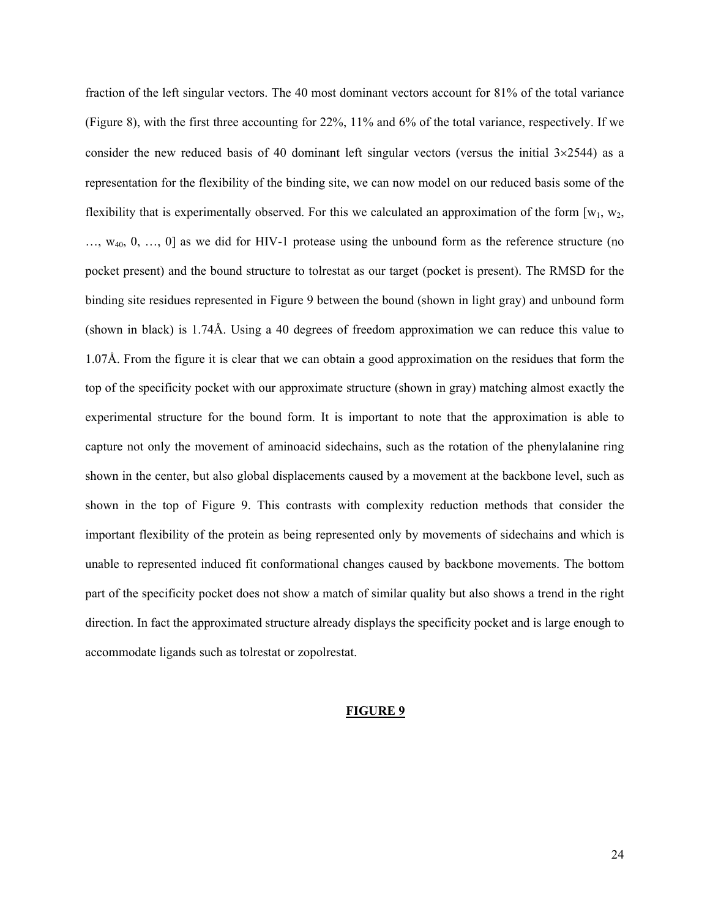fraction of the left singular vectors. The 40 most dominant vectors account for 81% of the total variance (Figure 8), with the first three accounting for 22%, 11% and 6% of the total variance, respectively. If we consider the new reduced basis of 40 dominant left singular vectors (versus the initial  $3\times2544$ ) as a representation for the flexibility of the binding site, we can now model on our reduced basis some of the flexibility that is experimentally observed. For this we calculated an approximation of the form  $[w_1, w_2,$ …, w40, 0, …, 0] as we did for HIV-1 protease using the unbound form as the reference structure (no pocket present) and the bound structure to tolrestat as our target (pocket is present). The RMSD for the binding site residues represented in Figure 9 between the bound (shown in light gray) and unbound form (shown in black) is 1.74Å. Using a 40 degrees of freedom approximation we can reduce this value to 1.07Å. From the figure it is clear that we can obtain a good approximation on the residues that form the top of the specificity pocket with our approximate structure (shown in gray) matching almost exactly the experimental structure for the bound form. It is important to note that the approximation is able to capture not only the movement of aminoacid sidechains, such as the rotation of the phenylalanine ring shown in the center, but also global displacements caused by a movement at the backbone level, such as shown in the top of Figure 9. This contrasts with complexity reduction methods that consider the important flexibility of the protein as being represented only by movements of sidechains and which is unable to represented induced fit conformational changes caused by backbone movements. The bottom part of the specificity pocket does not show a match of similar quality but also shows a trend in the right direction. In fact the approximated structure already displays the specificity pocket and is large enough to accommodate ligands such as tolrestat or zopolrestat.

#### **FIGURE 9**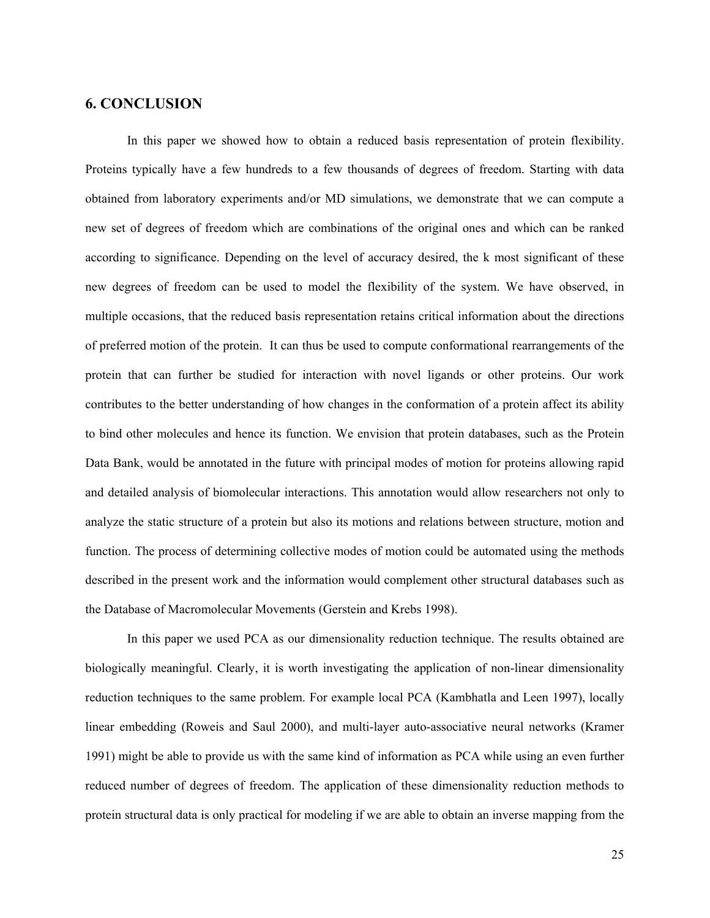## **6. CONCLUSION**

In this paper we showed how to obtain a reduced basis representation of protein flexibility. Proteins typically have a few hundreds to a few thousands of degrees of freedom. Starting with data obtained from laboratory experiments and/or MD simulations, we demonstrate that we can compute a new set of degrees of freedom which are combinations of the original ones and which can be ranked according to significance. Depending on the level of accuracy desired, the k most significant of these new degrees of freedom can be used to model the flexibility of the system. We have observed, in multiple occasions, that the reduced basis representation retains critical information about the directions of preferred motion of the protein. It can thus be used to compute conformational rearrangements of the protein that can further be studied for interaction with novel ligands or other proteins. Our work contributes to the better understanding of how changes in the conformation of a protein affect its ability to bind other molecules and hence its function. We envision that protein databases, such as the Protein Data Bank, would be annotated in the future with principal modes of motion for proteins allowing rapid and detailed analysis of biomolecular interactions. This annotation would allow researchers not only to analyze the static structure of a protein but also its motions and relations between structure, motion and function. The process of determining collective modes of motion could be automated using the methods described in the present work and the information would complement other structural databases such as the Database of Macromolecular Movements (Gerstein and Krebs 1998).

In this paper we used PCA as our dimensionality reduction technique. The results obtained are biologically meaningful. Clearly, it is worth investigating the application of non-linear dimensionality reduction techniques to the same problem. For example local PCA (Kambhatla and Leen 1997), locally linear embedding (Roweis and Saul 2000), and multi-layer auto-associative neural networks (Kramer 1991) might be able to provide us with the same kind of information as PCA while using an even further reduced number of degrees of freedom. The application of these dimensionality reduction methods to protein structural data is only practical for modeling if we are able to obtain an inverse mapping from the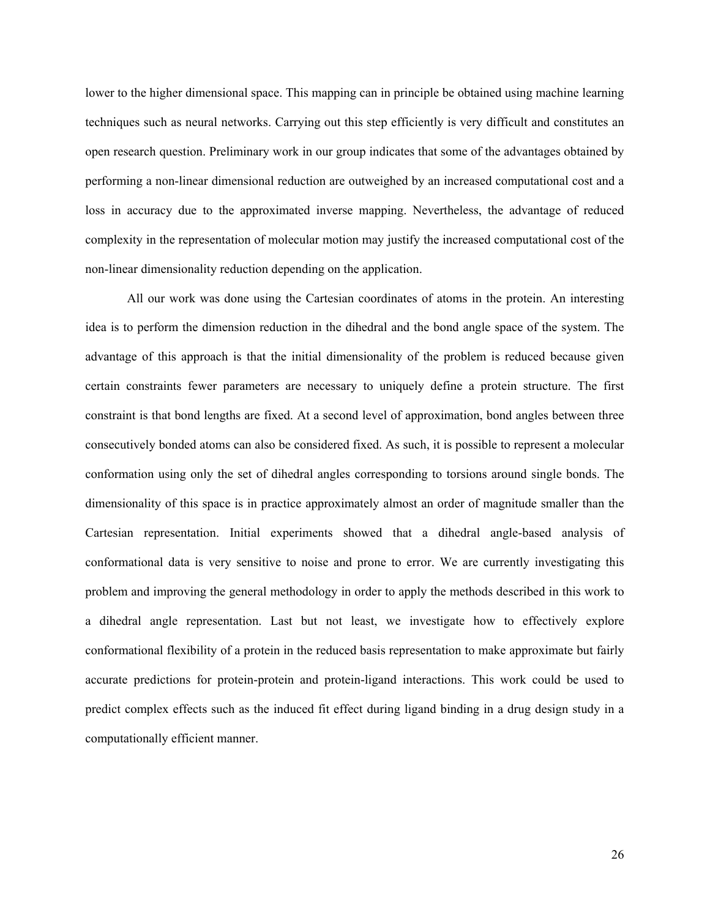lower to the higher dimensional space. This mapping can in principle be obtained using machine learning techniques such as neural networks. Carrying out this step efficiently is very difficult and constitutes an open research question. Preliminary work in our group indicates that some of the advantages obtained by performing a non-linear dimensional reduction are outweighed by an increased computational cost and a loss in accuracy due to the approximated inverse mapping. Nevertheless, the advantage of reduced complexity in the representation of molecular motion may justify the increased computational cost of the non-linear dimensionality reduction depending on the application.

All our work was done using the Cartesian coordinates of atoms in the protein. An interesting idea is to perform the dimension reduction in the dihedral and the bond angle space of the system. The advantage of this approach is that the initial dimensionality of the problem is reduced because given certain constraints fewer parameters are necessary to uniquely define a protein structure. The first constraint is that bond lengths are fixed. At a second level of approximation, bond angles between three consecutively bonded atoms can also be considered fixed. As such, it is possible to represent a molecular conformation using only the set of dihedral angles corresponding to torsions around single bonds. The dimensionality of this space is in practice approximately almost an order of magnitude smaller than the Cartesian representation. Initial experiments showed that a dihedral angle-based analysis of conformational data is very sensitive to noise and prone to error. We are currently investigating this problem and improving the general methodology in order to apply the methods described in this work to a dihedral angle representation. Last but not least, we investigate how to effectively explore conformational flexibility of a protein in the reduced basis representation to make approximate but fairly accurate predictions for protein-protein and protein-ligand interactions. This work could be used to predict complex effects such as the induced fit effect during ligand binding in a drug design study in a computationally efficient manner.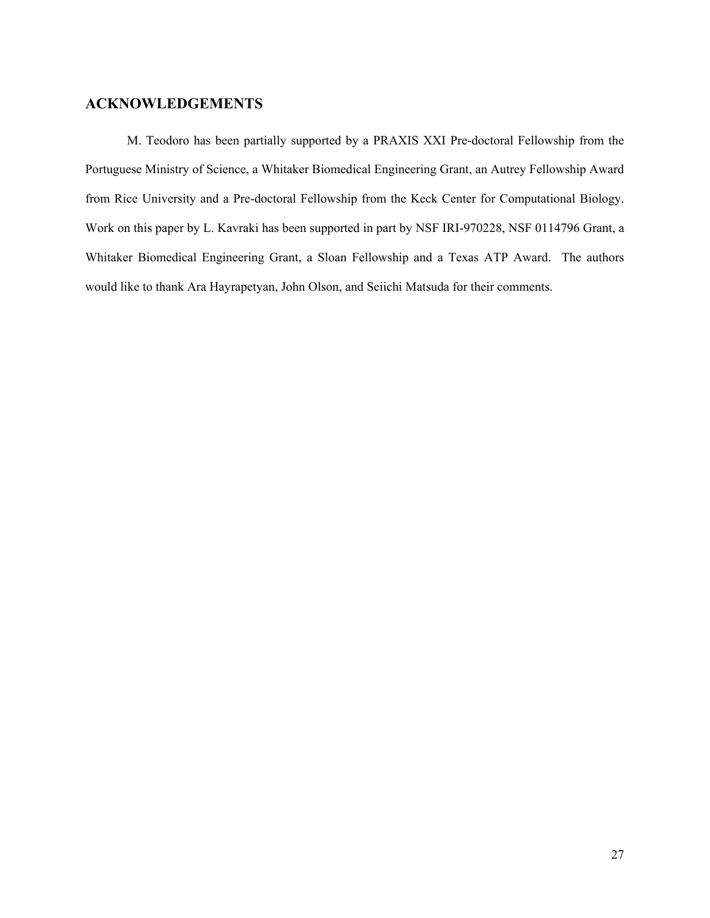## **ACKNOWLEDGEMENTS**

M. Teodoro has been partially supported by a PRAXIS XXI Pre-doctoral Fellowship from the Portuguese Ministry of Science, a Whitaker Biomedical Engineering Grant, an Autrey Fellowship Award from Rice University and a Pre-doctoral Fellowship from the Keck Center for Computational Biology. Work on this paper by L. Kavraki has been supported in part by NSF IRI-970228, NSF 0114796 Grant, a Whitaker Biomedical Engineering Grant, a Sloan Fellowship and a Texas ATP Award. The authors would like to thank Ara Hayrapetyan, John Olson, and Seiichi Matsuda for their comments.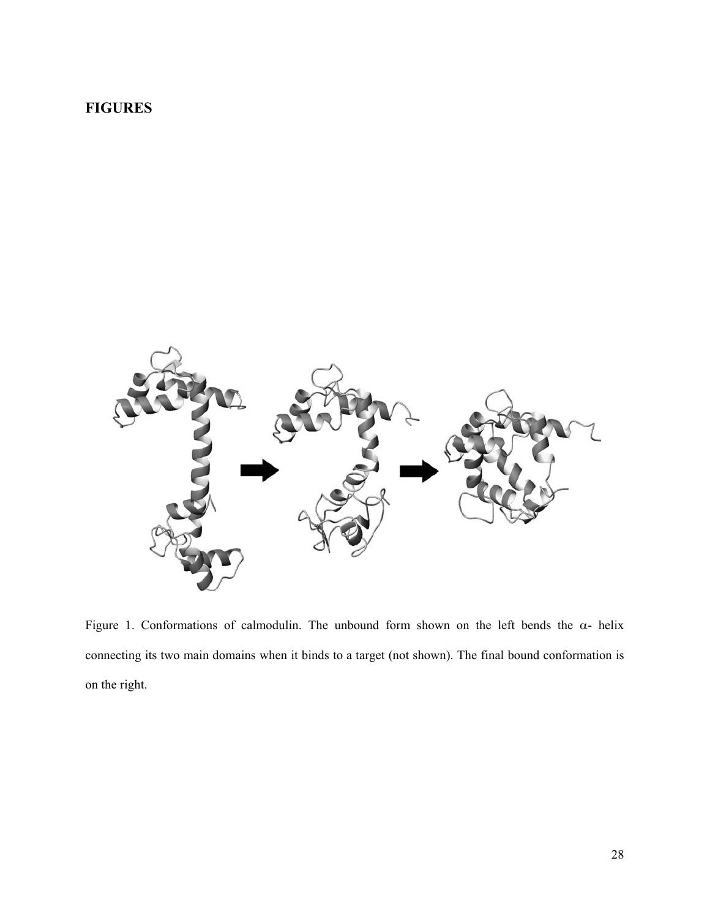# **FIGURES**



Figure 1. Conformations of calmodulin. The unbound form shown on the left bends the  $\alpha$ - helix connecting its two main domains when it binds to a target (not shown). The final bound conformation is on the right.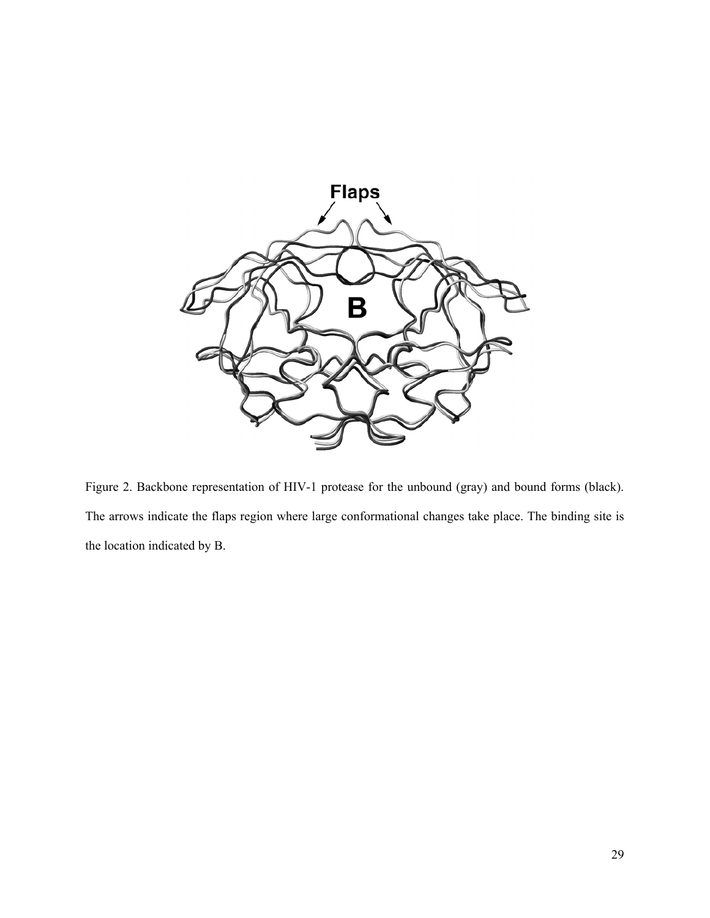

Figure 2. Backbone representation of HIV-1 protease for the unbound (gray) and bound forms (black). The arrows indicate the flaps region where large conformational changes take place. The binding site is the location indicated by B.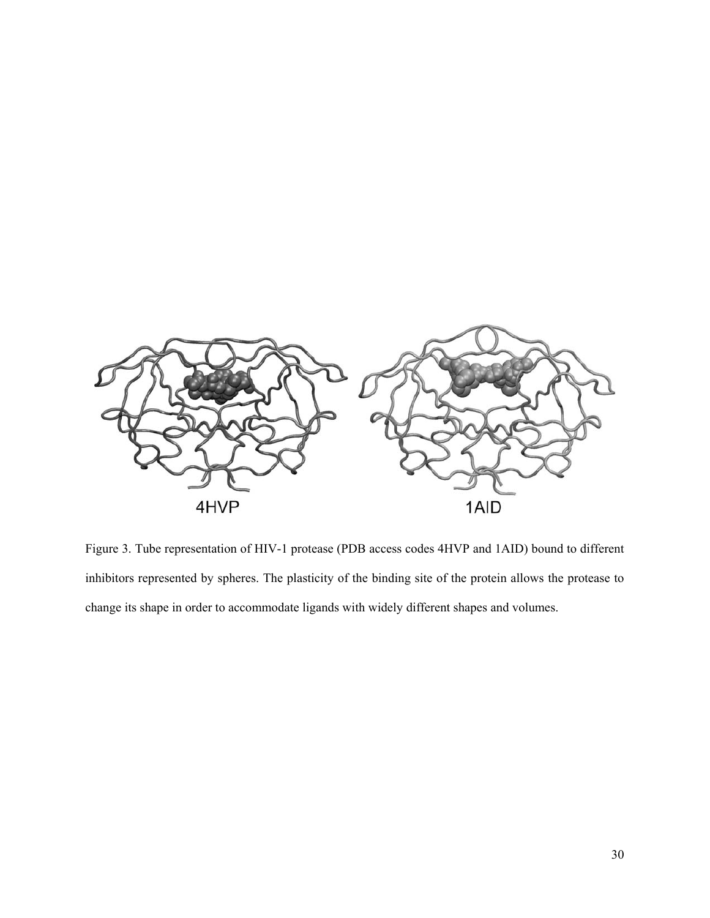

Figure 3. Tube representation of HIV-1 protease (PDB access codes 4HVP and 1AID) bound to different inhibitors represented by spheres. The plasticity of the binding site of the protein allows the protease to change its shape in order to accommodate ligands with widely different shapes and volumes.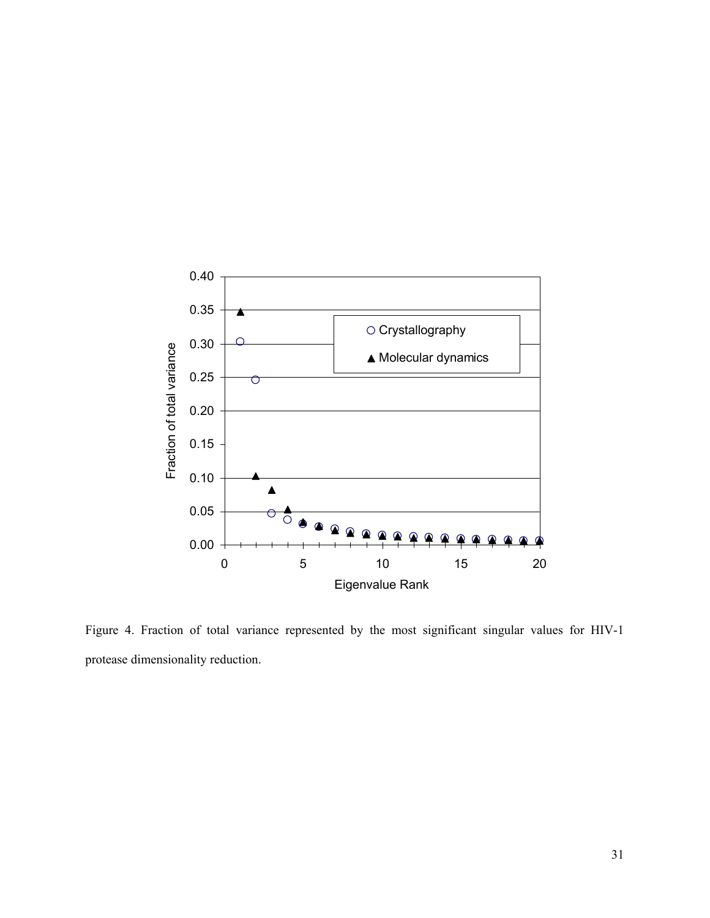

Figure 4. Fraction of total variance represented by the most significant singular values for HIV-1 protease dimensionality reduction.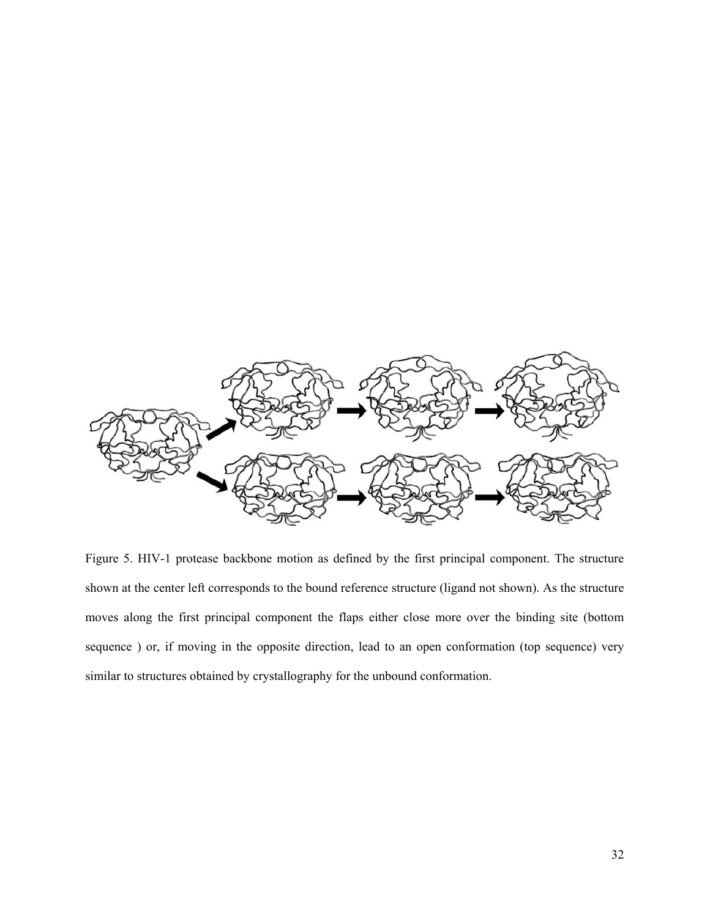

Figure 5. HIV-1 protease backbone motion as defined by the first principal component. The structure shown at the center left corresponds to the bound reference structure (ligand not shown). As the structure moves along the first principal component the flaps either close more over the binding site (bottom sequence ) or, if moving in the opposite direction, lead to an open conformation (top sequence) very similar to structures obtained by crystallography for the unbound conformation.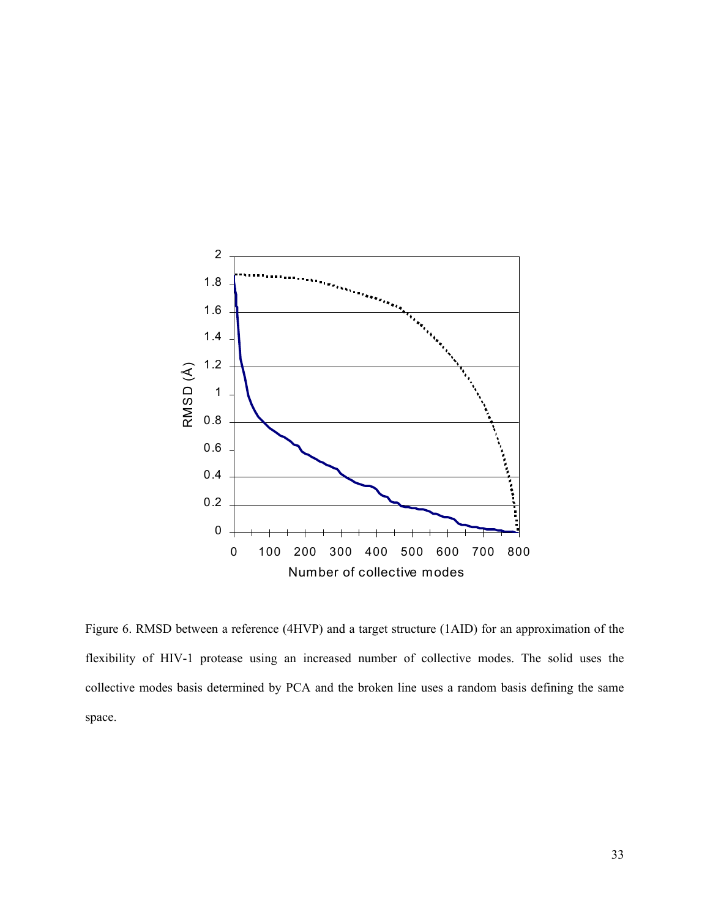

Figure 6. RMSD between a reference (4HVP) and a target structure (1AID) for an approximation of the flexibility of HIV-1 protease using an increased number of collective modes. The solid uses the collective modes basis determined by PCA and the broken line uses a random basis defining the same space.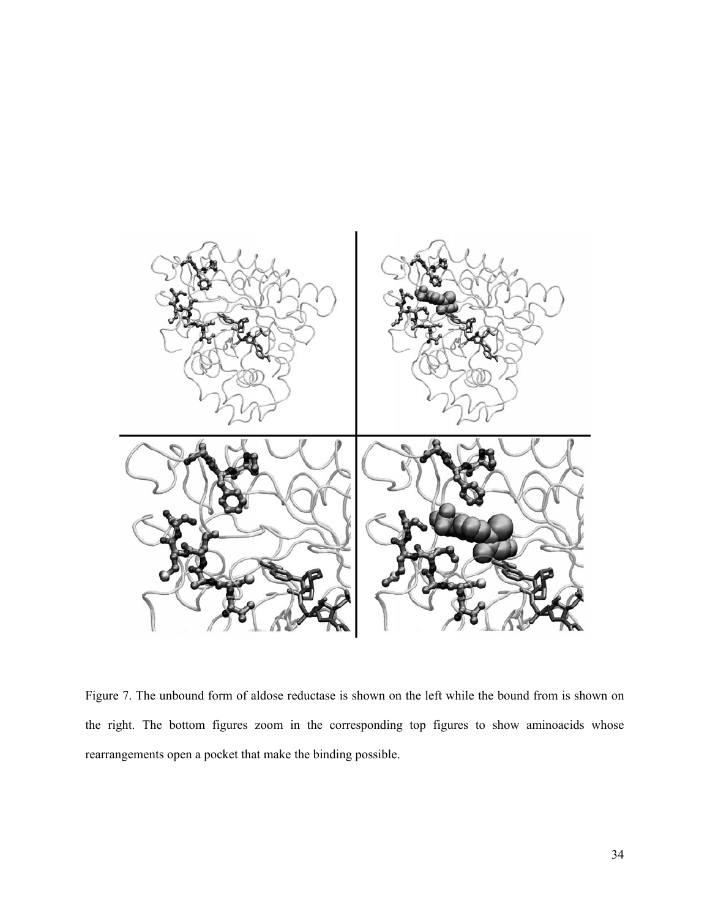

Figure 7. The unbound form of aldose reductase is shown on the left while the bound from is shown on the right. The bottom figures zoom in the corresponding top figures to show aminoacids whose rearrangements open a pocket that make the binding possible.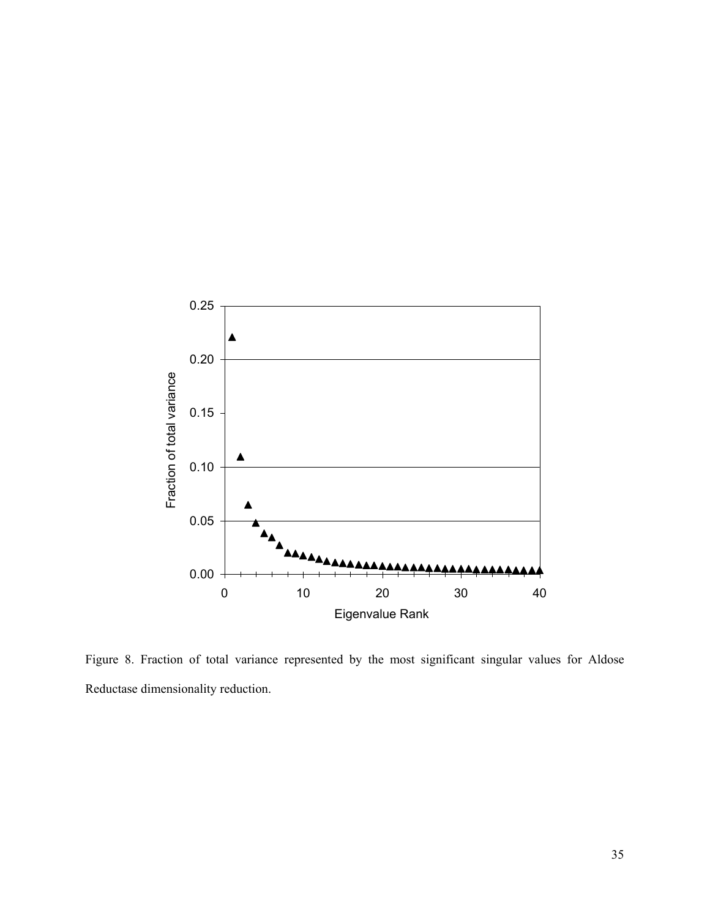

Figure 8. Fraction of total variance represented by the most significant singular values for Aldose Reductase dimensionality reduction.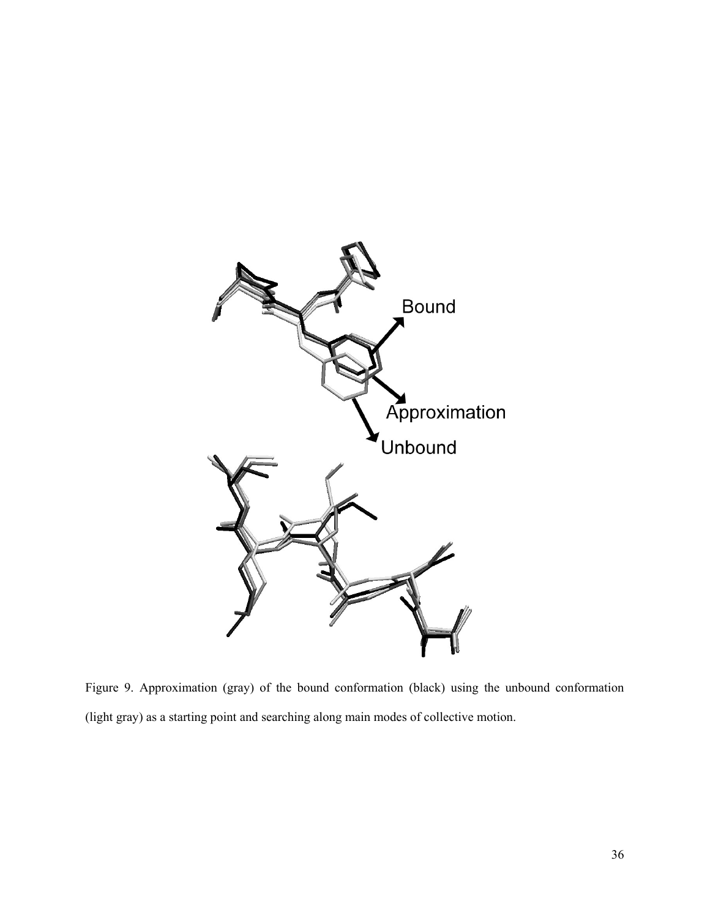

Figure 9. Approximation (gray) of the bound conformation (black) using the unbound conformation (light gray) as a starting point and searching along main modes of collective motion.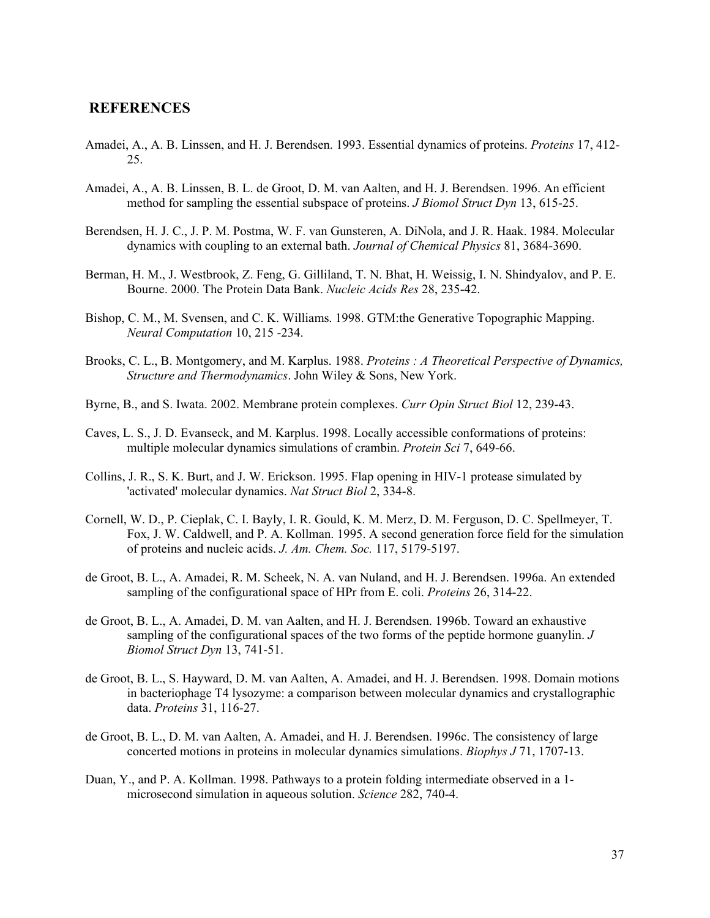## **REFERENCES**

- Amadei, A., A. B. Linssen, and H. J. Berendsen. 1993. Essential dynamics of proteins. *Proteins* 17, 412- 25.
- Amadei, A., A. B. Linssen, B. L. de Groot, D. M. van Aalten, and H. J. Berendsen. 1996. An efficient method for sampling the essential subspace of proteins. *J Biomol Struct Dyn* 13, 615-25.
- Berendsen, H. J. C., J. P. M. Postma, W. F. van Gunsteren, A. DiNola, and J. R. Haak. 1984. Molecular dynamics with coupling to an external bath. *Journal of Chemical Physics* 81, 3684-3690.
- Berman, H. M., J. Westbrook, Z. Feng, G. Gilliland, T. N. Bhat, H. Weissig, I. N. Shindyalov, and P. E. Bourne. 2000. The Protein Data Bank. *Nucleic Acids Res* 28, 235-42.
- Bishop, C. M., M. Svensen, and C. K. Williams. 1998. GTM:the Generative Topographic Mapping. *Neural Computation* 10, 215 -234.
- Brooks, C. L., B. Montgomery, and M. Karplus. 1988. *Proteins : A Theoretical Perspective of Dynamics, Structure and Thermodynamics*. John Wiley & Sons, New York.
- Byrne, B., and S. Iwata. 2002. Membrane protein complexes. *Curr Opin Struct Biol* 12, 239-43.
- Caves, L. S., J. D. Evanseck, and M. Karplus. 1998. Locally accessible conformations of proteins: multiple molecular dynamics simulations of crambin. *Protein Sci* 7, 649-66.
- Collins, J. R., S. K. Burt, and J. W. Erickson. 1995. Flap opening in HIV-1 protease simulated by 'activated' molecular dynamics. *Nat Struct Biol* 2, 334-8.
- Cornell, W. D., P. Cieplak, C. I. Bayly, I. R. Gould, K. M. Merz, D. M. Ferguson, D. C. Spellmeyer, T. Fox, J. W. Caldwell, and P. A. Kollman. 1995. A second generation force field for the simulation of proteins and nucleic acids. *J. Am. Chem. Soc.* 117, 5179-5197.
- de Groot, B. L., A. Amadei, R. M. Scheek, N. A. van Nuland, and H. J. Berendsen. 1996a. An extended sampling of the configurational space of HPr from E. coli. *Proteins* 26, 314-22.
- de Groot, B. L., A. Amadei, D. M. van Aalten, and H. J. Berendsen. 1996b. Toward an exhaustive sampling of the configurational spaces of the two forms of the peptide hormone guanylin. *J Biomol Struct Dyn* 13, 741-51.
- de Groot, B. L., S. Hayward, D. M. van Aalten, A. Amadei, and H. J. Berendsen. 1998. Domain motions in bacteriophage T4 lysozyme: a comparison between molecular dynamics and crystallographic data. *Proteins* 31, 116-27.
- de Groot, B. L., D. M. van Aalten, A. Amadei, and H. J. Berendsen. 1996c. The consistency of large concerted motions in proteins in molecular dynamics simulations. *Biophys J* 71, 1707-13.
- Duan, Y., and P. A. Kollman. 1998. Pathways to a protein folding intermediate observed in a 1 microsecond simulation in aqueous solution. *Science* 282, 740-4.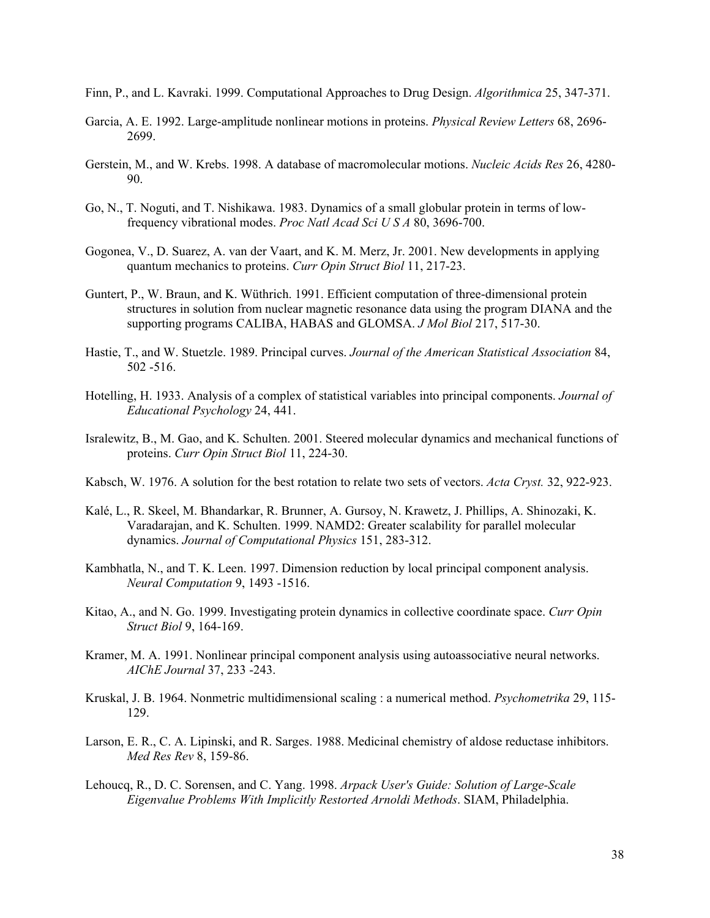- Finn, P., and L. Kavraki. 1999. Computational Approaches to Drug Design. *Algorithmica* 25, 347-371.
- Garcia, A. E. 1992. Large-amplitude nonlinear motions in proteins. *Physical Review Letters* 68, 2696- 2699.
- Gerstein, M., and W. Krebs. 1998. A database of macromolecular motions. *Nucleic Acids Res* 26, 4280- 90.
- Go, N., T. Noguti, and T. Nishikawa. 1983. Dynamics of a small globular protein in terms of lowfrequency vibrational modes. *Proc Natl Acad Sci U S A* 80, 3696-700.
- Gogonea, V., D. Suarez, A. van der Vaart, and K. M. Merz, Jr. 2001. New developments in applying quantum mechanics to proteins. *Curr Opin Struct Biol* 11, 217-23.
- Guntert, P., W. Braun, and K. Wüthrich. 1991. Efficient computation of three-dimensional protein structures in solution from nuclear magnetic resonance data using the program DIANA and the supporting programs CALIBA, HABAS and GLOMSA. *J Mol Biol* 217, 517-30.
- Hastie, T., and W. Stuetzle. 1989. Principal curves. *Journal of the American Statistical Association* 84, 502 -516.
- Hotelling, H. 1933. Analysis of a complex of statistical variables into principal components. *Journal of Educational Psychology* 24, 441.
- Isralewitz, B., M. Gao, and K. Schulten. 2001. Steered molecular dynamics and mechanical functions of proteins. *Curr Opin Struct Biol* 11, 224-30.
- Kabsch, W. 1976. A solution for the best rotation to relate two sets of vectors. *Acta Cryst.* 32, 922-923.
- Kalé, L., R. Skeel, M. Bhandarkar, R. Brunner, A. Gursoy, N. Krawetz, J. Phillips, A. Shinozaki, K. Varadarajan, and K. Schulten. 1999. NAMD2: Greater scalability for parallel molecular dynamics. *Journal of Computational Physics* 151, 283-312.
- Kambhatla, N., and T. K. Leen. 1997. Dimension reduction by local principal component analysis. *Neural Computation* 9, 1493 -1516.
- Kitao, A., and N. Go. 1999. Investigating protein dynamics in collective coordinate space. *Curr Opin Struct Biol* 9, 164-169.
- Kramer, M. A. 1991. Nonlinear principal component analysis using autoassociative neural networks. *AIChE Journal* 37, 233 -243.
- Kruskal, J. B. 1964. Nonmetric multidimensional scaling : a numerical method. *Psychometrika* 29, 115- 129.
- Larson, E. R., C. A. Lipinski, and R. Sarges. 1988. Medicinal chemistry of aldose reductase inhibitors. *Med Res Rev* 8, 159-86.
- Lehoucq, R., D. C. Sorensen, and C. Yang. 1998. *Arpack User's Guide: Solution of Large-Scale Eigenvalue Problems With Implicitly Restorted Arnoldi Methods*. SIAM, Philadelphia.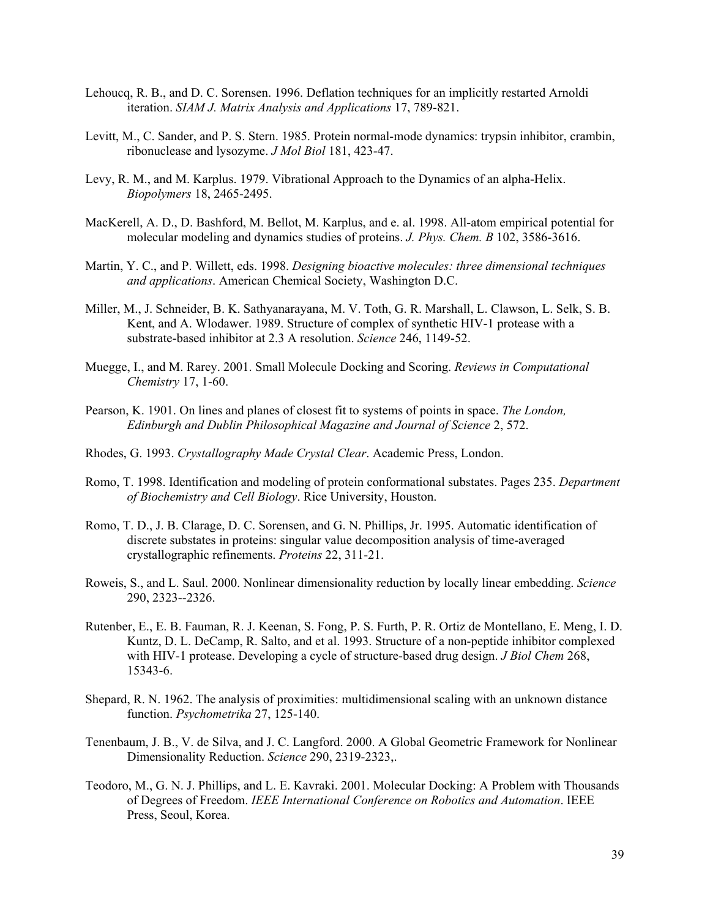- Lehoucq, R. B., and D. C. Sorensen. 1996. Deflation techniques for an implicitly restarted Arnoldi iteration. *SIAM J. Matrix Analysis and Applications* 17, 789-821.
- Levitt, M., C. Sander, and P. S. Stern. 1985. Protein normal-mode dynamics: trypsin inhibitor, crambin, ribonuclease and lysozyme. *J Mol Biol* 181, 423-47.
- Levy, R. M., and M. Karplus. 1979. Vibrational Approach to the Dynamics of an alpha-Helix. *Biopolymers* 18, 2465-2495.
- MacKerell, A. D., D. Bashford, M. Bellot, M. Karplus, and e. al. 1998. All-atom empirical potential for molecular modeling and dynamics studies of proteins. *J. Phys. Chem. B* 102, 3586-3616.
- Martin, Y. C., and P. Willett, eds. 1998. *Designing bioactive molecules: three dimensional techniques and applications*. American Chemical Society, Washington D.C.
- Miller, M., J. Schneider, B. K. Sathyanarayana, M. V. Toth, G. R. Marshall, L. Clawson, L. Selk, S. B. Kent, and A. Wlodawer. 1989. Structure of complex of synthetic HIV-1 protease with a substrate-based inhibitor at 2.3 A resolution. *Science* 246, 1149-52.
- Muegge, I., and M. Rarey. 2001. Small Molecule Docking and Scoring. *Reviews in Computational Chemistry* 17, 1-60.
- Pearson, K. 1901. On lines and planes of closest fit to systems of points in space. *The London, Edinburgh and Dublin Philosophical Magazine and Journal of Science* 2, 572.
- Rhodes, G. 1993. *Crystallography Made Crystal Clear*. Academic Press, London.
- Romo, T. 1998. Identification and modeling of protein conformational substates. Pages 235. *Department of Biochemistry and Cell Biology*. Rice University, Houston.
- Romo, T. D., J. B. Clarage, D. C. Sorensen, and G. N. Phillips, Jr. 1995. Automatic identification of discrete substates in proteins: singular value decomposition analysis of time-averaged crystallographic refinements. *Proteins* 22, 311-21.
- Roweis, S., and L. Saul. 2000. Nonlinear dimensionality reduction by locally linear embedding. *Science* 290, 2323--2326.
- Rutenber, E., E. B. Fauman, R. J. Keenan, S. Fong, P. S. Furth, P. R. Ortiz de Montellano, E. Meng, I. D. Kuntz, D. L. DeCamp, R. Salto, and et al. 1993. Structure of a non-peptide inhibitor complexed with HIV-1 protease. Developing a cycle of structure-based drug design. *J Biol Chem* 268, 15343-6.
- Shepard, R. N. 1962. The analysis of proximities: multidimensional scaling with an unknown distance function. *Psychometrika* 27, 125-140.
- Tenenbaum, J. B., V. de Silva, and J. C. Langford. 2000. A Global Geometric Framework for Nonlinear Dimensionality Reduction. *Science* 290, 2319-2323,.
- Teodoro, M., G. N. J. Phillips, and L. E. Kavraki. 2001. Molecular Docking: A Problem with Thousands of Degrees of Freedom. *IEEE International Conference on Robotics and Automation*. IEEE Press, Seoul, Korea.